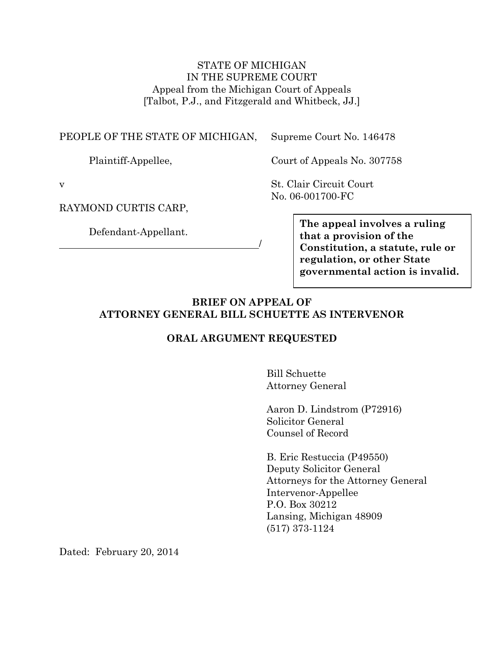STATE OF MICHIGAN IN THE SUPREME COURT Appeal from the Michigan Court of Appeals [Talbot, P.J., and Fitzgerald and Whitbeck, JJ.]

### PEOPLE OF THE STATE OF MICHIGAN,

Supreme Court No. 146478

Plaintiff-Appellee,

Court of Appeals No. 307758

v

RAYMOND CURTIS CARP,

Defendant-Appellant.

St. Clair Circuit Court No. 06-001700-FC

> **The appeal involves a ruling that a provision of the Constitution, a statute, rule or regulation, or other State governmental action is invalid.**

## **BRIEF ON APPEAL OF ATTORNEY GENERAL BILL SCHUETTE AS INTERVENOR**

 $\overline{\phantom{a}}$ 

### **ORAL ARGUMENT REQUESTED**

Bill Schuette Attorney General

Aaron D. Lindstrom (P72916) Solicitor General Counsel of Record

B. Eric Restuccia (P49550) Deputy Solicitor General Attorneys for the Attorney General Intervenor-Appellee P.O. Box 30212 Lansing, Michigan 48909 (517) 373-1124

Dated: February 20, 2014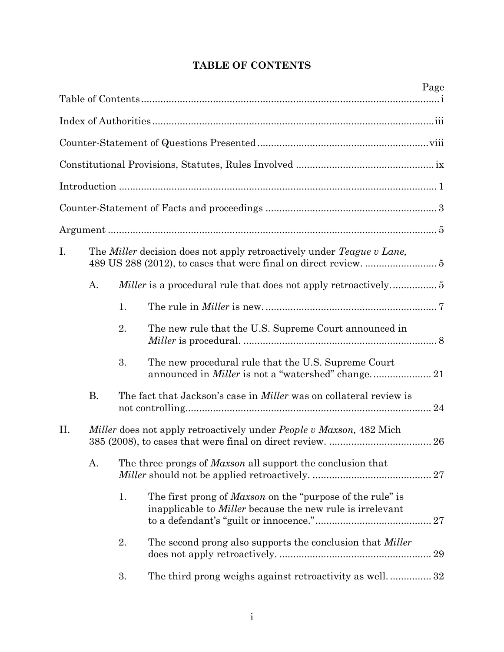<span id="page-1-0"></span>

|     |           |                                                                                      | Page                                                                                                                                 |  |
|-----|-----------|--------------------------------------------------------------------------------------|--------------------------------------------------------------------------------------------------------------------------------------|--|
|     |           |                                                                                      |                                                                                                                                      |  |
|     |           |                                                                                      |                                                                                                                                      |  |
|     |           |                                                                                      |                                                                                                                                      |  |
|     |           |                                                                                      |                                                                                                                                      |  |
|     |           |                                                                                      |                                                                                                                                      |  |
|     |           |                                                                                      |                                                                                                                                      |  |
| I.  |           | The <i>Miller</i> decision does not apply retroactively under <i>Teague v Lane</i> , |                                                                                                                                      |  |
|     | A.        |                                                                                      |                                                                                                                                      |  |
|     |           | 1.                                                                                   |                                                                                                                                      |  |
|     |           | 2.                                                                                   | The new rule that the U.S. Supreme Court announced in                                                                                |  |
|     |           | 3.                                                                                   | The new procedural rule that the U.S. Supreme Court                                                                                  |  |
|     | <b>B.</b> |                                                                                      | The fact that Jackson's case in <i>Miller</i> was on collateral review is<br>24                                                      |  |
| II. |           |                                                                                      | <i>Miller</i> does not apply retroactively under <i>People v Maxson</i> , 482 Mich<br>26                                             |  |
|     | А.        |                                                                                      | The three prongs of <i>Maxson</i> all support the conclusion that<br>27                                                              |  |
|     |           | 1.                                                                                   | The first prong of <i>Maxson</i> on the "purpose of the rule" is<br>inapplicable to <i>Miller</i> because the new rule is irrelevant |  |
|     |           | 2.                                                                                   | The second prong also supports the conclusion that <i>Miller</i><br>29                                                               |  |
|     |           | 3.                                                                                   | The third prong weighs against retroactivity as well32                                                                               |  |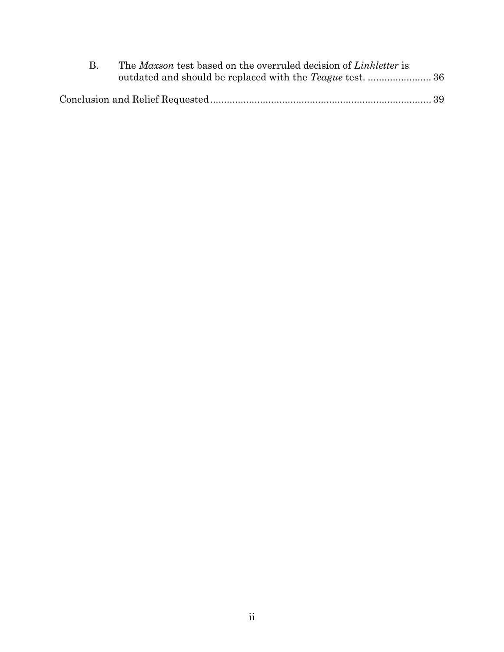| The Maxson test based on the overruled decision of Linkletter is |  |
|------------------------------------------------------------------|--|
|                                                                  |  |
|                                                                  |  |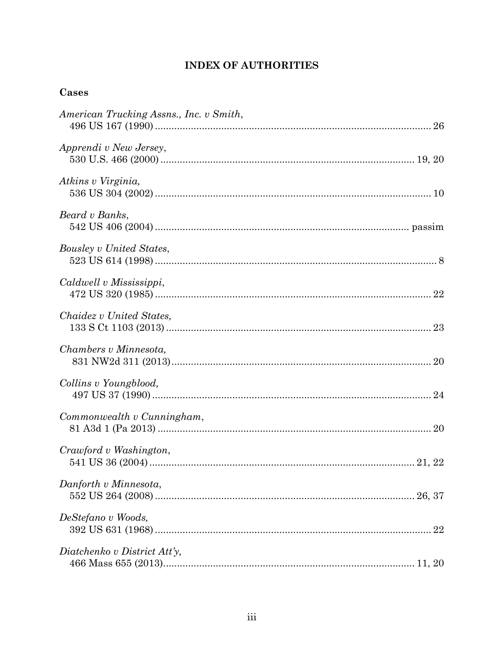# **INDEX OF AUTHORITIES**

# <span id="page-3-0"></span>Cases

| American Trucking Assns., Inc. v Smith, |
|-----------------------------------------|
| Apprendi v New Jersey,                  |
| Atkins v Virginia,                      |
| Beard v Banks,                          |
| Bousley v United States,                |
| Caldwell v Mississippi,                 |
| Chaidez v United States,                |
| Chambers v Minnesota,                   |
| Collins v Youngblood,                   |
| Commonwealth v Cunningham,              |
| Crawford v Washington,                  |
| Danforth v Minnesota,                   |
| DeStefano v Woods,                      |
| Diatchenko v District Att'y,            |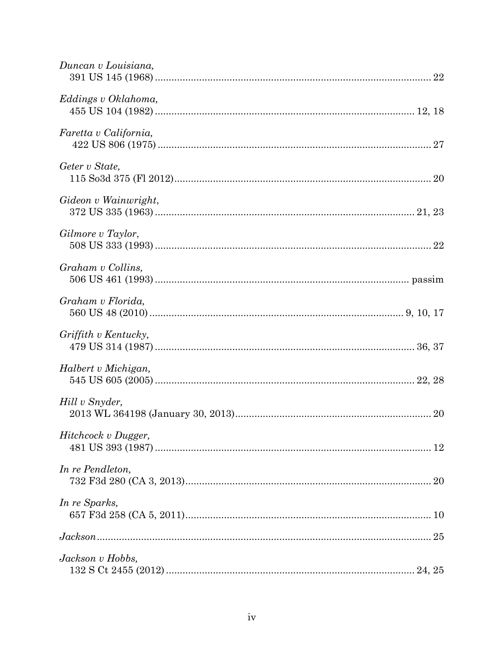| Duncan v Louisiana,   |  |
|-----------------------|--|
| Eddings v Oklahoma,   |  |
| Faretta v California, |  |
| Geter v State,        |  |
| Gideon v Wainwright,  |  |
| Gilmore v Taylor,     |  |
| Graham v Collins,     |  |
| Graham v Florida,     |  |
| Griffith v Kentucky,  |  |
| Halbert v Michigan,   |  |
| Hill v Snyder,        |  |
| Hitchcock v Dugger,   |  |
| In re Pendleton,      |  |
| In re Sparks,         |  |
|                       |  |
| Jackson v Hobbs,      |  |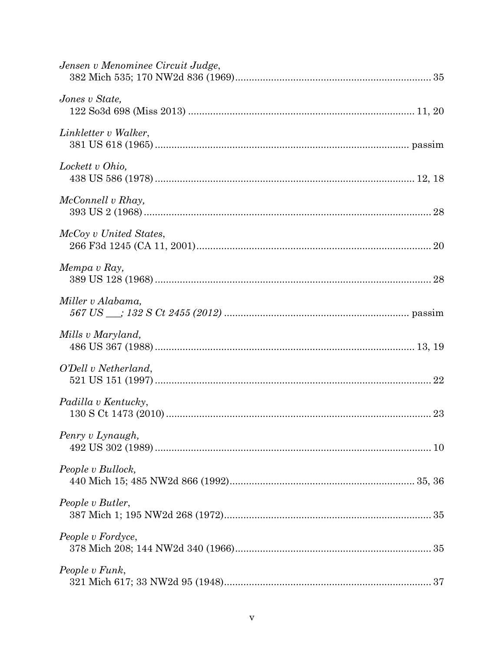| Jensen v Menominee Circuit Judge, |
|-----------------------------------|
| Jones v State,                    |
| Linkletter v Walker,              |
| Lockett v Ohio,                   |
| McConnell v Rhay,                 |
| McCoy v United States,            |
| Mempa v Ray,                      |
| Miller v Alabama,                 |
| Mills v Maryland,                 |
| O'Dell v Netherland,              |
| Padilla v Kentucky,               |
| Penry v Lynaugh,                  |
| People v Bullock,                 |
| People v Butler,                  |
| People v Fordyce,                 |
| People v Funk,                    |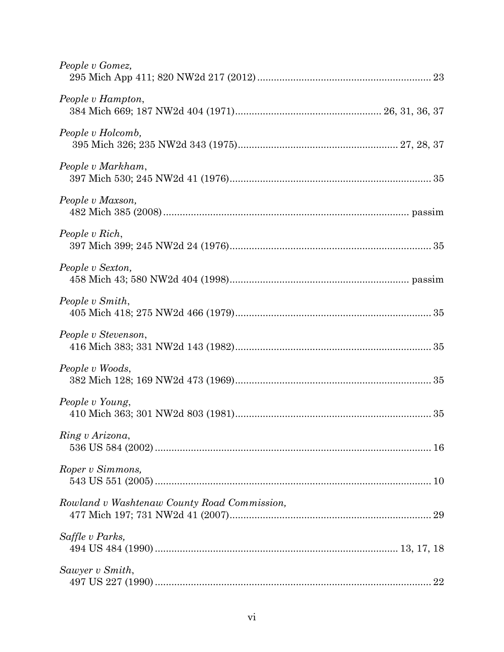| People v Gomez,                             |  |
|---------------------------------------------|--|
| People v Hampton,                           |  |
| People v Holcomb,                           |  |
| People v Markham,                           |  |
| People v Maxson,                            |  |
| People v Rich,                              |  |
| People v Sexton,                            |  |
| People v Smith,                             |  |
| People v Stevenson,                         |  |
| People v Woods,                             |  |
| People v Young,                             |  |
| Ring v Arizona,                             |  |
| Roper v Simmons,                            |  |
| Rowland v Washtenaw County Road Commission, |  |
| Saffle v Parks,                             |  |
| Sawyer v Smith,                             |  |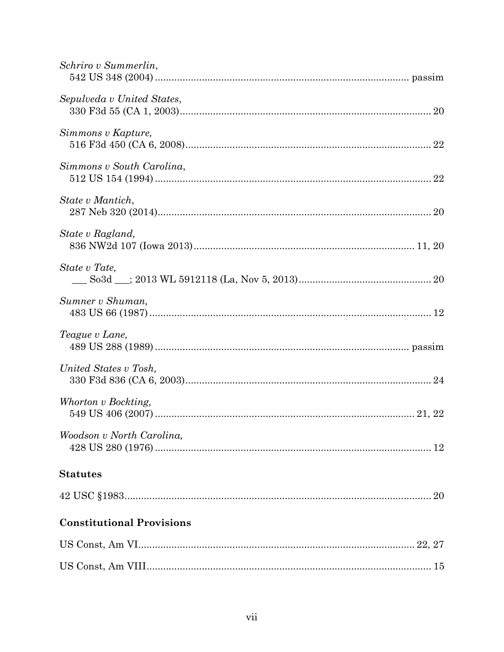| Schriro v Summerlin,             |  |
|----------------------------------|--|
| Sepulveda v United States,       |  |
| Simmons v Kapture,               |  |
| Simmons v South Carolina,        |  |
| State v Mantich,                 |  |
| State v Ragland,                 |  |
| State v Tate,                    |  |
| Sumner v Shuman,                 |  |
| Teague v Lane,                   |  |
| United States v Tosh,            |  |
| Whorton v Bockting,              |  |
| Woodson v North Carolina,        |  |
| <b>Statutes</b>                  |  |
|                                  |  |
| <b>Constitutional Provisions</b> |  |
|                                  |  |
|                                  |  |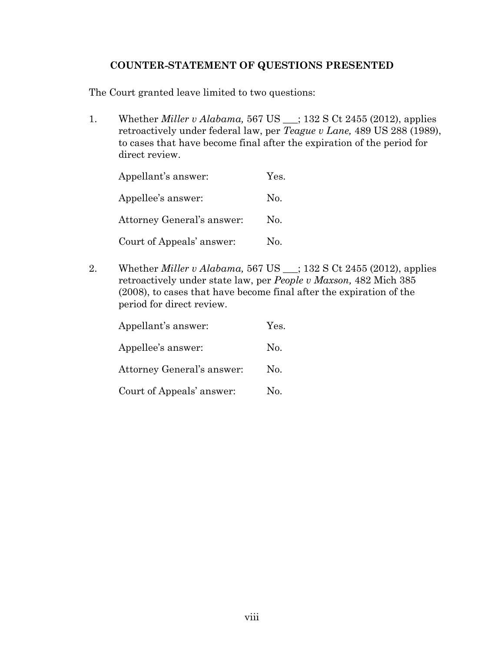## **COUNTER-STATEMENT OF QUESTIONS PRESENTED**

<span id="page-8-0"></span>The Court granted leave limited to two questions:

1. Whether *Miller v Alabama,* 567 US \_\_\_; 132 S Ct 2455 (2012), applies retroactively under federal law, per *Teague v Lane,* 489 US 288 (1989), to cases that have become final after the expiration of the period for direct review.

| Appellant's answer:        | Yes. |
|----------------------------|------|
| Appellee's answer:         | No.  |
| Attorney General's answer: | No.  |
| Court of Appeals' answer:  | No.  |

2. Whether *Miller v Alabama,* 567 US \_\_\_; 132 S Ct 2455 (2012), applies retroactively under state law, per *People v Maxson,* 482 Mich 385 (2008), to cases that have become final after the expiration of the period for direct review.

| Appellant's answer:        | Yes. |
|----------------------------|------|
| Appellee's answer:         | No.  |
| Attorney General's answer: | No.  |
| Court of Appeals' answer:  | No.  |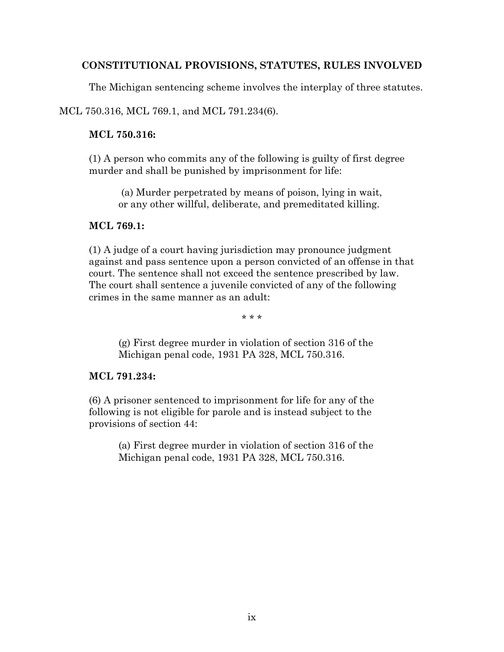## <span id="page-9-0"></span>**CONSTITUTIONAL PROVISIONS, STATUTES, RULES INVOLVED**

The Michigan sentencing scheme involves the interplay of three statutes.

MCL 750.316, MCL 769.1, and MCL 791.234(6).

## **MCL 750.316:**

(1) A person who commits any of the following is guilty of first degree murder and shall be punished by imprisonment for life:

(a) Murder perpetrated by means of poison, lying in wait, or any other willful, deliberate, and premeditated killing.

## **MCL 769.1:**

(1) A judge of a court having jurisdiction may pronounce judgment against and pass sentence upon a person convicted of an offense in that court. The sentence shall not exceed the sentence prescribed by law. The court shall sentence a juvenile convicted of any of the following crimes in the same manner as an adult:

\* \* \*

(g) First degree murder in violation of section 316 of the Michigan penal code, 1931 PA 328, MCL 750.316.

## **MCL 791.234:**

(6) A prisoner sentenced to imprisonment for life for any of the following is not eligible for parole and is instead subject to the provisions of section 44:

> (a) First degree murder in violation of section 316 of the Michigan penal code, 1931 PA 328, MCL 750.316.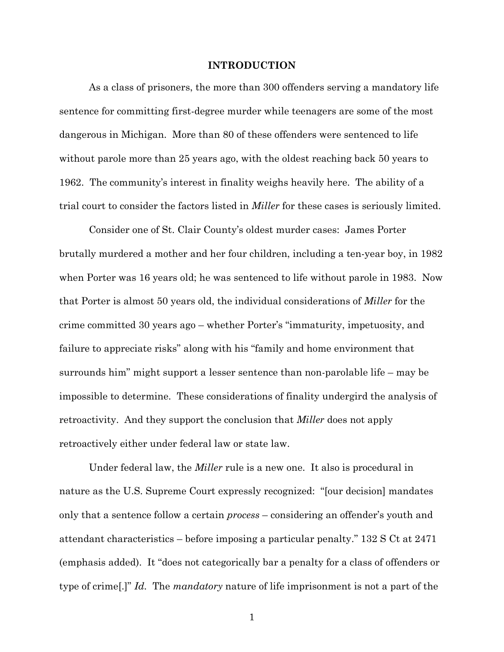#### **INTRODUCTION**

<span id="page-10-0"></span>As a class of prisoners, the more than 300 offenders serving a mandatory life sentence for committing first-degree murder while teenagers are some of the most dangerous in Michigan. More than 80 of these offenders were sentenced to life without parole more than 25 years ago, with the oldest reaching back 50 years to 1962. The community's interest in finality weighs heavily here. The ability of a trial court to consider the factors listed in *Miller* for these cases is seriously limited.

Consider one of St. Clair County's oldest murder cases: James Porter brutally murdered a mother and her four children, including a ten-year boy, in 1982 when Porter was 16 years old; he was sentenced to life without parole in 1983. Now that Porter is almost 50 years old, the individual considerations of *Miller* for the crime committed 30 years ago – whether Porter's "immaturity, impetuosity, and failure to appreciate risks" along with his "family and home environment that surrounds him" might support a lesser sentence than non-parolable life – may be impossible to determine. These considerations of finality undergird the analysis of retroactivity. And they support the conclusion that *Miller* does not apply retroactively either under federal law or state law.

Under federal law, the *Miller* rule is a new one. It also is procedural in nature as the U.S. Supreme Court expressly recognized: "[our decision] mandates only that a sentence follow a certain *process* – considering an offender's youth and attendant characteristics – before imposing a particular penalty." 132 S Ct at 2471 (emphasis added). It "does not categorically bar a penalty for a class of offenders or type of crime[.]" *Id.* The *mandatory* nature of life imprisonment is not a part of the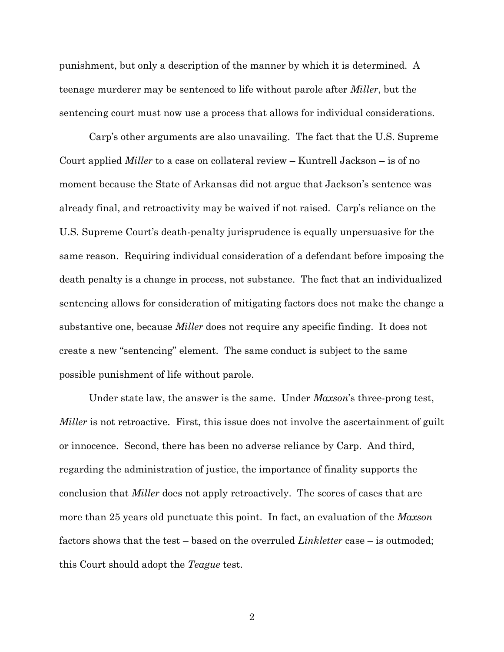punishment, but only a description of the manner by which it is determined. A teenage murderer may be sentenced to life without parole after *Miller*, but the sentencing court must now use a process that allows for individual considerations.

Carp's other arguments are also unavailing. The fact that the U.S. Supreme Court applied *Miller* to a case on collateral review – Kuntrell Jackson – is of no moment because the State of Arkansas did not argue that Jackson's sentence was already final, and retroactivity may be waived if not raised. Carp's reliance on the U.S. Supreme Court's death-penalty jurisprudence is equally unpersuasive for the same reason. Requiring individual consideration of a defendant before imposing the death penalty is a change in process, not substance. The fact that an individualized sentencing allows for consideration of mitigating factors does not make the change a substantive one, because *Miller* does not require any specific finding. It does not create a new "sentencing" element. The same conduct is subject to the same possible punishment of life without parole.

Under state law, the answer is the same. Under *Maxson*'s three-prong test, *Miller* is not retroactive. First, this issue does not involve the ascertainment of guilt or innocence. Second, there has been no adverse reliance by Carp. And third, regarding the administration of justice, the importance of finality supports the conclusion that *Miller* does not apply retroactively. The scores of cases that are more than 25 years old punctuate this point. In fact, an evaluation of the *Maxson* factors shows that the test – based on the overruled *Linkletter* case – is outmoded; this Court should adopt the *Teague* test.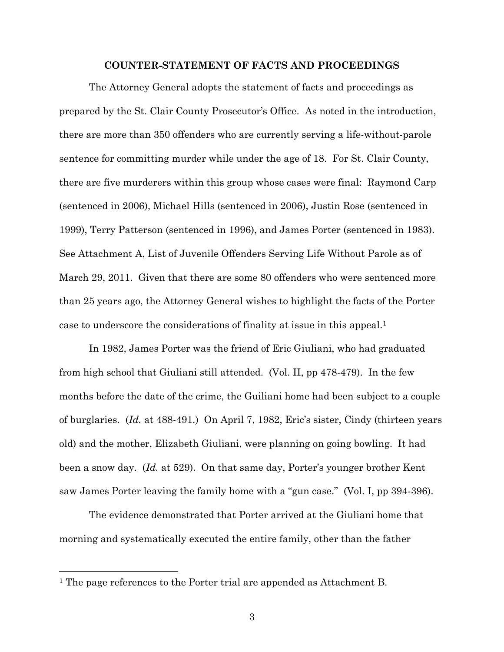#### **COUNTER-STATEMENT OF FACTS AND PROCEEDINGS**

<span id="page-12-0"></span>The Attorney General adopts the statement of facts and proceedings as prepared by the St. Clair County Prosecutor's Office. As noted in the introduction, there are more than 350 offenders who are currently serving a life-without-parole sentence for committing murder while under the age of 18. For St. Clair County, there are five murderers within this group whose cases were final: Raymond Carp (sentenced in 2006), Michael Hills (sentenced in 2006), Justin Rose (sentenced in 1999), Terry Patterson (sentenced in 1996), and James Porter (sentenced in 1983). See Attachment A, List of Juvenile Offenders Serving Life Without Parole as of March 29, 2011. Given that there are some 80 offenders who were sentenced more than 25 years ago, the Attorney General wishes to highlight the facts of the Porter case to underscore the considerations of finality at issue in this appeal. 1

In 1982, James Porter was the friend of Eric Giuliani, who had graduated from high school that Giuliani still attended. (Vol. II, pp 478-479). In the few months before the date of the crime, the Guiliani home had been subject to a couple of burglaries. (*Id.* at 488-491.) On April 7, 1982, Eric's sister, Cindy (thirteen years old) and the mother, Elizabeth Giuliani, were planning on going bowling. It had been a snow day. (*Id.* at 529). On that same day, Porter's younger brother Kent saw James Porter leaving the family home with a "gun case." (Vol. I, pp 394-396).

The evidence demonstrated that Porter arrived at the Giuliani home that morning and systematically executed the entire family, other than the father

 $\overline{a}$ 

<sup>1</sup> The page references to the Porter trial are appended as Attachment B.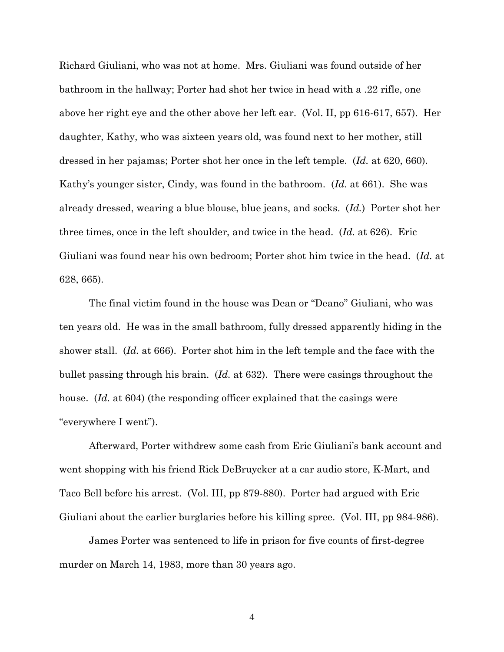Richard Giuliani, who was not at home. Mrs. Giuliani was found outside of her bathroom in the hallway; Porter had shot her twice in head with a .22 rifle, one above her right eye and the other above her left ear. (Vol. II, pp 616-617, 657). Her daughter, Kathy, who was sixteen years old, was found next to her mother, still dressed in her pajamas; Porter shot her once in the left temple. (*Id.* at 620, 660). Kathy's younger sister, Cindy, was found in the bathroom. (*Id.* at 661). She was already dressed, wearing a blue blouse, blue jeans, and socks. (*Id.*) Porter shot her three times, once in the left shoulder, and twice in the head. (*Id.* at 626). Eric Giuliani was found near his own bedroom; Porter shot him twice in the head. (*Id.* at 628, 665).

The final victim found in the house was Dean or "Deano" Giuliani, who was ten years old. He was in the small bathroom, fully dressed apparently hiding in the shower stall. (*Id.* at 666). Porter shot him in the left temple and the face with the bullet passing through his brain. (*Id.* at 632). There were casings throughout the house. (*Id.* at 604) (the responding officer explained that the casings were "everywhere I went").

Afterward, Porter withdrew some cash from Eric Giuliani's bank account and went shopping with his friend Rick DeBruycker at a car audio store, K-Mart, and Taco Bell before his arrest. (Vol. III, pp 879-880). Porter had argued with Eric Giuliani about the earlier burglaries before his killing spree. (Vol. III, pp 984-986).

James Porter was sentenced to life in prison for five counts of first-degree murder on March 14, 1983, more than 30 years ago.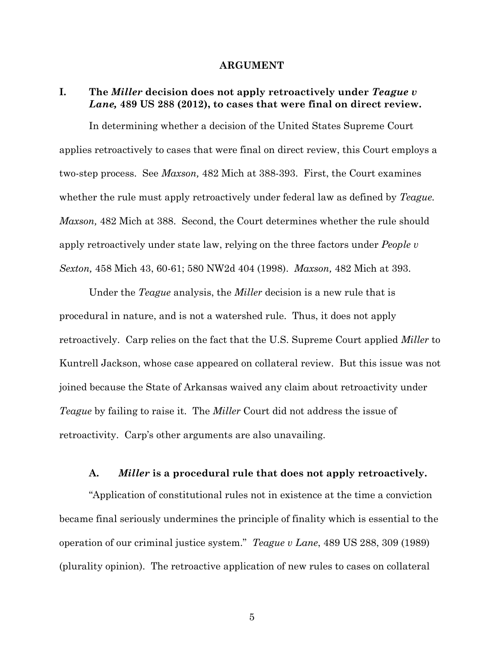#### **ARGUMENT**

### <span id="page-14-1"></span><span id="page-14-0"></span>**I. The** *Miller* **decision does not apply retroactively under** *Teague v Lane,* **489 US 288 (2012), to cases that were final on direct review.**

In determining whether a decision of the United States Supreme Court applies retroactively to cases that were final on direct review, this Court employs a two-step process. See *Maxson,* 482 Mich at 388-393. First, the Court examines whether the rule must apply retroactively under federal law as defined by *Teague. Maxson,* 482 Mich at 388. Second, the Court determines whether the rule should apply retroactively under state law, relying on the three factors under *People v Sexton,* 458 Mich 43, 60-61; 580 NW2d 404 (1998). *Maxson,* 482 Mich at 393.

Under the *Teague* analysis, the *Miller* decision is a new rule that is procedural in nature, and is not a watershed rule. Thus, it does not apply retroactively. Carp relies on the fact that the U.S. Supreme Court applied *Miller* to Kuntrell Jackson, whose case appeared on collateral review. But this issue was not joined because the State of Arkansas waived any claim about retroactivity under *Teague* by failing to raise it. The *Miller* Court did not address the issue of retroactivity. Carp's other arguments are also unavailing.

### <span id="page-14-2"></span>**A.** *Miller* **is a procedural rule that does not apply retroactively.**

"Application of constitutional rules not in existence at the time a conviction became final seriously undermines the principle of finality which is essential to the operation of our criminal justice system." *Teague v Lane*, 489 US 288, 309 (1989) (plurality opinion). The retroactive application of new rules to cases on collateral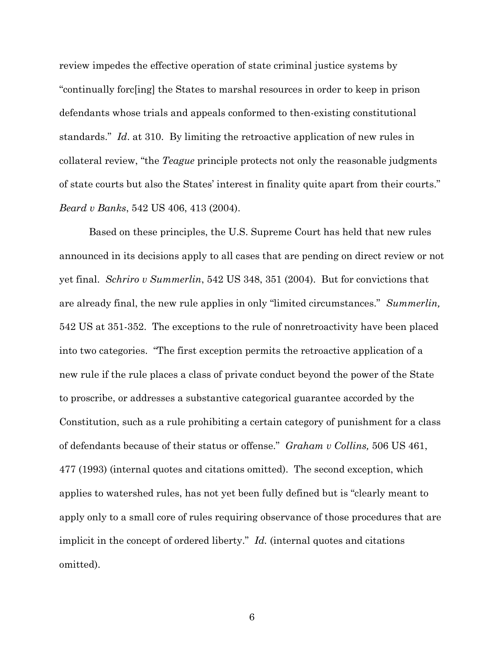review impedes the effective operation of state criminal justice systems by "continually forc[ing] the States to marshal resources in order to keep in prison defendants whose trials and appeals conformed to then-existing constitutional standards." *Id*. at 310. By limiting the retroactive application of new rules in collateral review, "the *Teague* principle protects not only the reasonable judgments of state courts but also the States' interest in finality quite apart from their courts." *Beard v Banks*, 542 US 406, 413 (2004).

Based on these principles, the U.S. Supreme Court has held that new rules announced in its decisions apply to all cases that are pending on direct review or not yet final. *Schriro v Summerlin*, 542 US 348, 351 (2004). But for convictions that are already final, the new rule applies in only "limited circumstances." *Summerlin,*  542 US at 351-352. The exceptions to the rule of nonretroactivity have been placed into two categories. "The first exception permits the retroactive application of a new rule if the rule places a class of private conduct beyond the power of the State to proscribe, or addresses a substantive categorical guarantee accorded by the Constitution, such as a rule prohibiting a certain category of punishment for a class of defendants because of their status or offense." *Graham v Collins,* 506 US 461, 477 (1993) (internal quotes and citations omitted). The second exception, which applies to watershed rules, has not yet been fully defined but is "clearly meant to apply only to a small core of rules requiring observance of those procedures that are implicit in the concept of ordered liberty." *Id.* (internal quotes and citations omitted).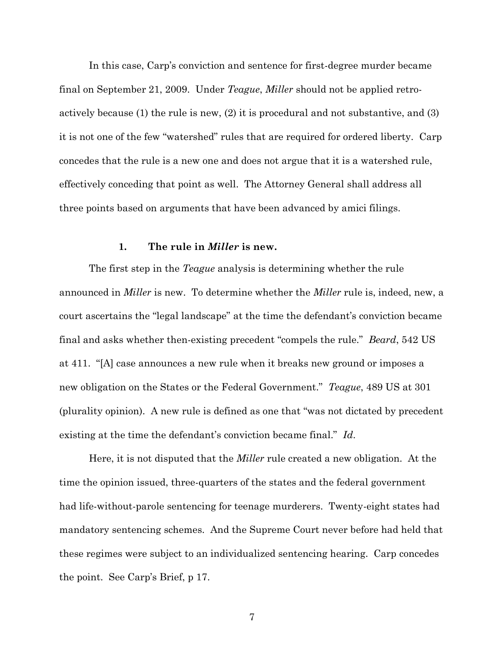In this case, Carp's conviction and sentence for first-degree murder became final on September 21, 2009. Under *Teague*, *Miller* should not be applied retroactively because (1) the rule is new, (2) it is procedural and not substantive, and (3) it is not one of the few "watershed" rules that are required for ordered liberty. Carp concedes that the rule is a new one and does not argue that it is a watershed rule, effectively conceding that point as well. The Attorney General shall address all three points based on arguments that have been advanced by amici filings.

#### **1. The rule in** *Miller* **is new.**

<span id="page-16-0"></span>The first step in the *Teague* analysis is determining whether the rule announced in *Miller* is new. To determine whether the *Miller* rule is, indeed, new, a court ascertains the "legal landscape" at the time the defendant's conviction became final and asks whether then-existing precedent "compels the rule." *Beard*, 542 US at 411. "[A] case announces a new rule when it breaks new ground or imposes a new obligation on the States or the Federal Government." *Teague*, 489 US at 301 (plurality opinion). A new rule is defined as one that "was not dictated by precedent existing at the time the defendant's conviction became final." *Id*.

Here, it is not disputed that the *Miller* rule created a new obligation. At the time the opinion issued, three-quarters of the states and the federal government had life-without-parole sentencing for teenage murderers. Twenty-eight states had mandatory sentencing schemes. And the Supreme Court never before had held that these regimes were subject to an individualized sentencing hearing. Carp concedes the point. See Carp's Brief, p 17.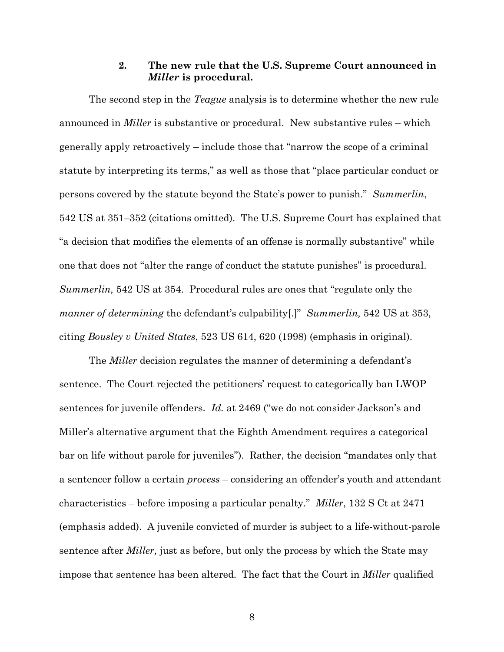### **2. The new rule that the U.S. Supreme Court announced in**  *Miller* **is procedural.**

<span id="page-17-0"></span>The second step in the *Teague* analysis is to determine whether the new rule announced in *Miller* is substantive or procedural. New substantive rules – which generally apply retroactively – include those that "narrow the scope of a criminal statute by interpreting its terms," as well as those that "place particular conduct or persons covered by the statute beyond the State's power to punish." *Summerlin*, 542 US at 351–352 (citations omitted). The U.S. Supreme Court has explained that "a decision that modifies the elements of an offense is normally substantive" while one that does not "alter the range of conduct the statute punishes" is procedural. *Summerlin,* 542 US at 354. Procedural rules are ones that "regulate only the *manner of determining* the defendant's culpability[.]" *Summerlin*, 542 US at 353, citing *Bousley v United States*, 523 US 614, 620 (1998) (emphasis in original).

The *Miller* decision regulates the manner of determining a defendant's sentence. The Court rejected the petitioners' request to categorically ban LWOP sentences for juvenile offenders. *Id.* at 2469 ("we do not consider Jackson's and Miller's alternative argument that the Eighth Amendment requires a categorical bar on life without parole for juveniles"). Rather, the decision "mandates only that a sentencer follow a certain *process* – considering an offender's youth and attendant characteristics – before imposing a particular penalty." *Miller*, 132 S Ct at 2471 (emphasis added). A juvenile convicted of murder is subject to a life-without-parole sentence after *Miller,* just as before, but only the process by which the State may impose that sentence has been altered. The fact that the Court in *Miller* qualified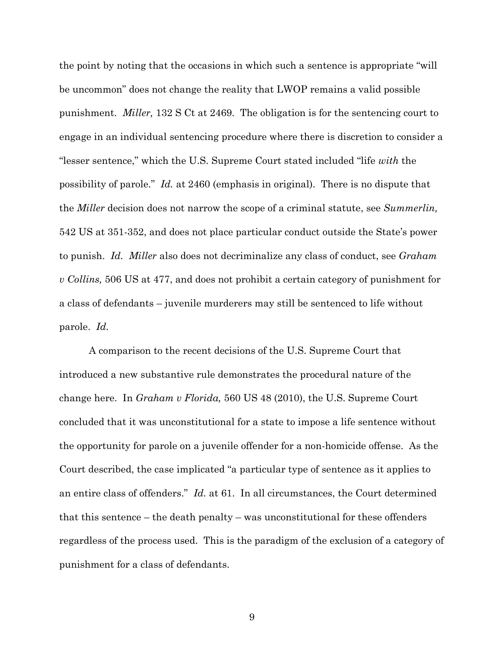the point by noting that the occasions in which such a sentence is appropriate "will be uncommon" does not change the reality that LWOP remains a valid possible punishment. *Miller,* 132 S Ct at 2469. The obligation is for the sentencing court to engage in an individual sentencing procedure where there is discretion to consider a "lesser sentence," which the U.S. Supreme Court stated included "life *with* the possibility of parole." *Id.* at 2460 (emphasis in original). There is no dispute that the *Miller* decision does not narrow the scope of a criminal statute, see *Summerlin,*  542 US at 351-352, and does not place particular conduct outside the State's power to punish. *Id. Miller* also does not decriminalize any class of conduct, see *Graham v Collins,* 506 US at 477, and does not prohibit a certain category of punishment for a class of defendants – juvenile murderers may still be sentenced to life without parole. *Id.*

A comparison to the recent decisions of the U.S. Supreme Court that introduced a new substantive rule demonstrates the procedural nature of the change here. In *Graham v Florida,* 560 US 48 (2010), the U.S. Supreme Court concluded that it was unconstitutional for a state to impose a life sentence without the opportunity for parole on a juvenile offender for a non-homicide offense. As the Court described, the case implicated "a particular type of sentence as it applies to an entire class of offenders." *Id.* at 61. In all circumstances, the Court determined that this sentence – the death penalty – was unconstitutional for these offenders regardless of the process used. This is the paradigm of the exclusion of a category of punishment for a class of defendants.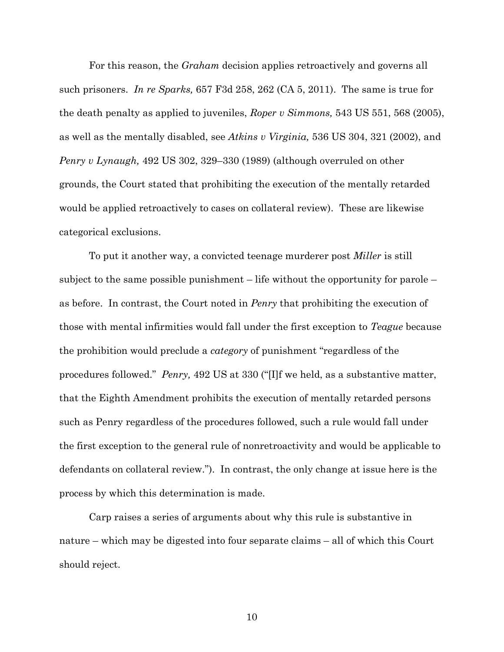For this reason, the *Graham* decision applies retroactively and governs all such prisoners. *In re Sparks,* 657 F3d 258, 262 (CA 5, 2011). The same is true for the death penalty as applied to juveniles, *Roper v Simmons,* 543 US 551, 568 (2005), as well as the mentally disabled, see *Atkins v Virginia,* 536 US 304, 321 (2002), and *Penry v Lynaugh,* 492 US 302, 329–330 (1989) (although overruled on other grounds, the Court stated that prohibiting the execution of the mentally retarded would be applied retroactively to cases on collateral review). These are likewise categorical exclusions.

To put it another way, a convicted teenage murderer post *Miller* is still subject to the same possible punishment – life without the opportunity for parole – as before. In contrast, the Court noted in *Penry* that prohibiting the execution of those with mental infirmities would fall under the first exception to *Teague* because the prohibition would preclude a *category* of punishment "regardless of the procedures followed." *Penry,* 492 US at 330 ("[I]f we held, as a substantive matter, that the Eighth Amendment prohibits the execution of mentally retarded persons such as Penry regardless of the procedures followed, such a rule would fall under the first exception to the general rule of nonretroactivity and would be applicable to defendants on collateral review."). In contrast, the only change at issue here is the process by which this determination is made.

Carp raises a series of arguments about why this rule is substantive in nature – which may be digested into four separate claims – all of which this Court should reject.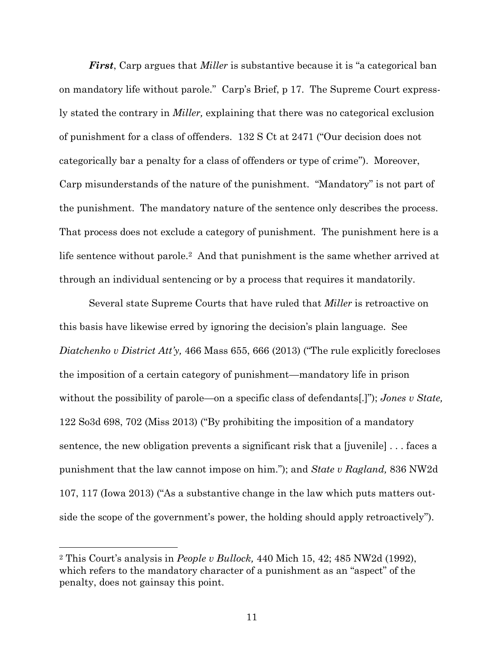*First*, Carp argues that *Miller* is substantive because it is "a categorical ban on mandatory life without parole." Carp's Brief, p 17. The Supreme Court expressly stated the contrary in *Miller,* explaining that there was no categorical exclusion of punishment for a class of offenders. 132 S Ct at 2471 ("Our decision does not categorically bar a penalty for a class of offenders or type of crime"). Moreover, Carp misunderstands of the nature of the punishment. "Mandatory" is not part of the punishment. The mandatory nature of the sentence only describes the process. That process does not exclude a category of punishment. The punishment here is a life sentence without parole.2 And that punishment is the same whether arrived at through an individual sentencing or by a process that requires it mandatorily.

Several state Supreme Courts that have ruled that *Miller* is retroactive on this basis have likewise erred by ignoring the decision's plain language. See *Diatchenko v District Att'y,* 466 Mass 655, 666 (2013) ("The rule explicitly forecloses the imposition of a certain category of punishment—mandatory life in prison without the possibility of parole—on a specific class of defendants[.]"); *Jones v State,*  122 So3d 698, 702 (Miss 2013) ("By prohibiting the imposition of a mandatory sentence, the new obligation prevents a significant risk that a [juvenile] . . . faces a punishment that the law cannot impose on him."); and *State v Ragland,* 836 NW2d 107, 117 (Iowa 2013) ("As a substantive change in the law which puts matters outside the scope of the government's power, the holding should apply retroactively").

 $\overline{a}$ 

<sup>2</sup> This Court's analysis in *People v Bullock,* 440 Mich 15, 42; 485 NW2d (1992), which refers to the mandatory character of a punishment as an "aspect" of the penalty, does not gainsay this point.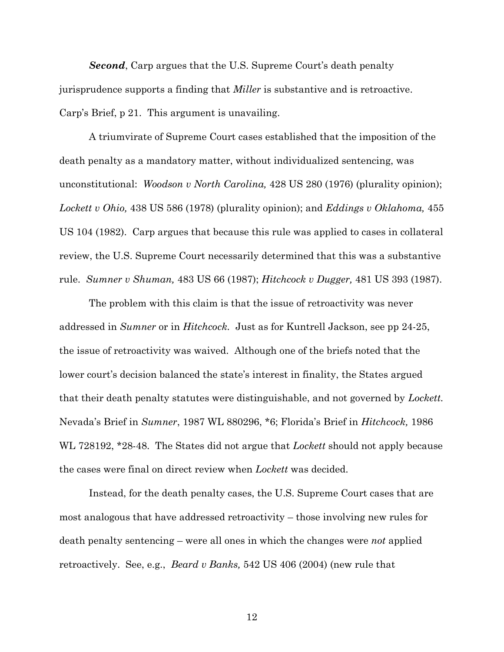*Second*, Carp argues that the U.S. Supreme Court's death penalty jurisprudence supports a finding that *Miller* is substantive and is retroactive. Carp's Brief, p 21. This argument is unavailing.

A triumvirate of Supreme Court cases established that the imposition of the death penalty as a mandatory matter, without individualized sentencing, was unconstitutional: *Woodson v North Carolina,* 428 US 280 (1976) (plurality opinion); *Lockett v Ohio,* 438 US 586 (1978) (plurality opinion); and *Eddings v Oklahoma,* 455 US 104 (1982). Carp argues that because this rule was applied to cases in collateral review, the U.S. Supreme Court necessarily determined that this was a substantive rule. *Sumner v Shuman,* 483 US 66 (1987); *Hitchcock v Dugger,* 481 US 393 (1987).

The problem with this claim is that the issue of retroactivity was never addressed in *Sumner* or in *Hitchcock.* Just as for Kuntrell Jackson, see pp 24-25, the issue of retroactivity was waived. Although one of the briefs noted that the lower court's decision balanced the state's interest in finality, the States argued that their death penalty statutes were distinguishable, and not governed by *Lockett.* Nevada's Brief in *Sumner*, 1987 WL 880296, \*6; Florida's Brief in *Hitchcock,* 1986 WL 728192, \*28-48. The States did not argue that *Lockett* should not apply because the cases were final on direct review when *Lockett* was decided.

Instead, for the death penalty cases, the U.S. Supreme Court cases that are most analogous that have addressed retroactivity – those involving new rules for death penalty sentencing – were all ones in which the changes were *not* applied retroactively. See, e.g., *Beard v Banks,* 542 US 406 (2004) (new rule that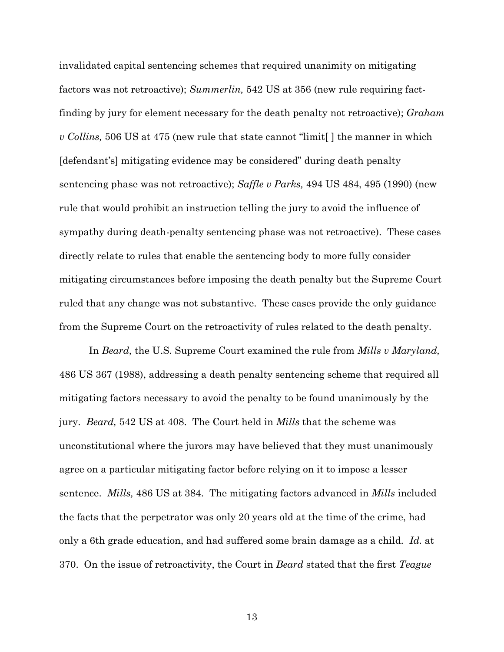invalidated capital sentencing schemes that required unanimity on mitigating factors was not retroactive); *Summerlin,* 542 US at 356 (new rule requiring factfinding by jury for element necessary for the death penalty not retroactive); *Graham v Collins,* 506 US at 475 (new rule that state cannot "limit[ ] the manner in which [defendant's] mitigating evidence may be considered" during death penalty sentencing phase was not retroactive); *Saffle v Parks,* 494 US 484, 495 (1990) (new rule that would prohibit an instruction telling the jury to avoid the influence of sympathy during death-penalty sentencing phase was not retroactive). These cases directly relate to rules that enable the sentencing body to more fully consider mitigating circumstances before imposing the death penalty but the Supreme Court ruled that any change was not substantive. These cases provide the only guidance from the Supreme Court on the retroactivity of rules related to the death penalty.

In *Beard,* the U.S. Supreme Court examined the rule from *Mills v Maryland,*  486 US 367 (1988), addressing a death penalty sentencing scheme that required all mitigating factors necessary to avoid the penalty to be found unanimously by the jury. *Beard,* 542 US at 408. The Court held in *Mills* that the scheme was unconstitutional where the jurors may have believed that they must unanimously agree on a particular mitigating factor before relying on it to impose a lesser sentence. *Mills,* 486 US at 384. The mitigating factors advanced in *Mills* included the facts that the perpetrator was only 20 years old at the time of the crime, had only a 6th grade education, and had suffered some brain damage as a child. *Id.* at 370. On the issue of retroactivity, the Court in *Beard* stated that the first *Teague*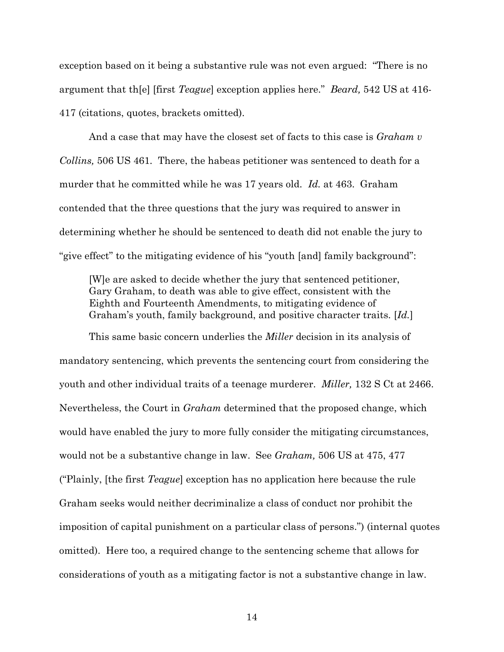exception based on it being a substantive rule was not even argued: "There is no argument that th[e] [first *Teague*] exception applies here." *Beard,* 542 US at 416- 417 (citations, quotes, brackets omitted).

And a case that may have the closest set of facts to this case is *Graham v Collins,* 506 US 461*.* There, the habeas petitioner was sentenced to death for a murder that he committed while he was 17 years old. *Id.* at 463. Graham contended that the three questions that the jury was required to answer in determining whether he should be sentenced to death did not enable the jury to "give effect" to the mitigating evidence of his "youth [and] family background":

[W]e are asked to decide whether the jury that sentenced petitioner, Gary Graham, to death was able to give effect, consistent with the Eighth and Fourteenth Amendments, to mitigating evidence of Graham's youth, family background, and positive character traits. [*Id.*]

This same basic concern underlies the *Miller* decision in its analysis of mandatory sentencing, which prevents the sentencing court from considering the youth and other individual traits of a teenage murderer. *Miller,* 132 S Ct at 2466. Nevertheless, the Court in *Graham* determined that the proposed change, which would have enabled the jury to more fully consider the mitigating circumstances, would not be a substantive change in law. See *Graham,* 506 US at 475, 477 ("Plainly, [the first *Teague*] exception has no application here because the rule Graham seeks would neither decriminalize a class of conduct nor prohibit the imposition of capital punishment on a particular class of persons.") (internal quotes omitted). Here too, a required change to the sentencing scheme that allows for considerations of youth as a mitigating factor is not a substantive change in law.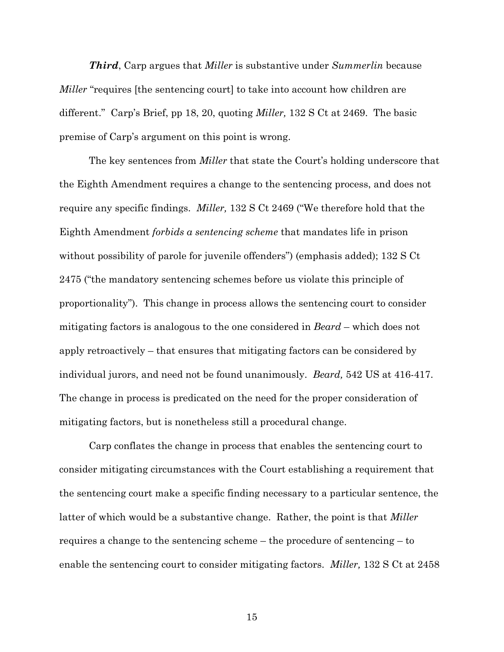*Third*, Carp argues that *Miller* is substantive under *Summerlin* because *Miller* "requires [the sentencing court] to take into account how children are different." Carp's Brief, pp 18, 20, quoting *Miller,* 132 S Ct at 2469. The basic premise of Carp's argument on this point is wrong.

The key sentences from *Miller* that state the Court's holding underscore that the Eighth Amendment requires a change to the sentencing process, and does not require any specific findings. *Miller,* 132 S Ct 2469 ("We therefore hold that the Eighth Amendment *forbids a sentencing scheme* that mandates life in prison without possibility of parole for juvenile offenders") (emphasis added); 132 S Ct 2475 ("the mandatory sentencing schemes before us violate this principle of proportionality"). This change in process allows the sentencing court to consider mitigating factors is analogous to the one considered in *Beard* – which does not apply retroactively – that ensures that mitigating factors can be considered by individual jurors, and need not be found unanimously. *Beard,* 542 US at 416-417. The change in process is predicated on the need for the proper consideration of mitigating factors, but is nonetheless still a procedural change.

Carp conflates the change in process that enables the sentencing court to consider mitigating circumstances with the Court establishing a requirement that the sentencing court make a specific finding necessary to a particular sentence, the latter of which would be a substantive change. Rather, the point is that *Miller* requires a change to the sentencing scheme – the procedure of sentencing – to enable the sentencing court to consider mitigating factors. *Miller,* 132 S Ct at 2458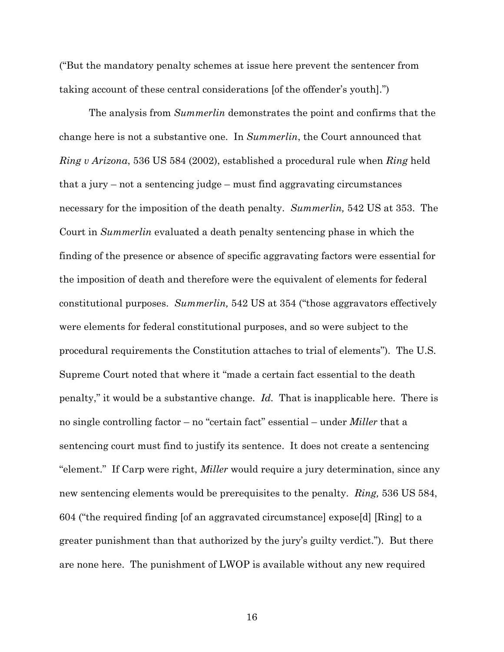("But the mandatory penalty schemes at issue here prevent the sentencer from taking account of these central considerations [of the offender's youth].")

The analysis from *Summerlin* demonstrates the point and confirms that the change here is not a substantive one. In *Summerlin*, the Court announced that *Ring v Arizona*, 536 US 584 (2002), established a procedural rule when *Ring* held that a jury – not a sentencing judge – must find aggravating circumstances necessary for the imposition of the death penalty. *Summerlin,* 542 US at 353. The Court in *Summerlin* evaluated a death penalty sentencing phase in which the finding of the presence or absence of specific aggravating factors were essential for the imposition of death and therefore were the equivalent of elements for federal constitutional purposes. *Summerlin,* 542 US at 354 ("those aggravators effectively were elements for federal constitutional purposes, and so were subject to the procedural requirements the Constitution attaches to trial of elements"). The U.S. Supreme Court noted that where it "made a certain fact essential to the death penalty," it would be a substantive change. *Id.* That is inapplicable here. There is no single controlling factor – no "certain fact" essential – under *Miller* that a sentencing court must find to justify its sentence. It does not create a sentencing "element." If Carp were right, *Miller* would require a jury determination, since any new sentencing elements would be prerequisites to the penalty. *Ring,* 536 US 584, 604 ("the required finding [of an aggravated circumstance] expose[d] [Ring] to a greater punishment than that authorized by the jury's guilty verdict."). But there are none here. The punishment of LWOP is available without any new required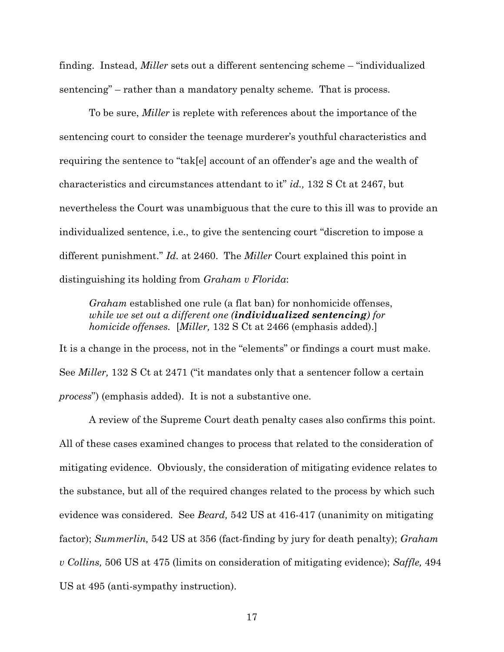finding. Instead, *Miller* sets out a different sentencing scheme – "individualized sentencing" – rather than a mandatory penalty scheme. That is process.

To be sure, *Miller* is replete with references about the importance of the sentencing court to consider the teenage murderer's youthful characteristics and requiring the sentence to "tak[e] account of an offender's age and the wealth of characteristics and circumstances attendant to it" *id.,* 132 S Ct at 2467, but nevertheless the Court was unambiguous that the cure to this ill was to provide an individualized sentence, i.e., to give the sentencing court "discretion to impose a different punishment." *Id.* at 2460. The *Miller* Court explained this point in distinguishing its holding from *Graham v Florida*:

*Graham* established one rule (a flat ban) for nonhomicide offenses, *while we set out a different one (individualized sentencing) for homicide offenses.* [*Miller,* 132 S Ct at 2466 (emphasis added).]

It is a change in the process, not in the "elements" or findings a court must make. See *Miller,* 132 S Ct at 2471 ("it mandates only that a sentencer follow a certain *process*") (emphasis added). It is not a substantive one.

A review of the Supreme Court death penalty cases also confirms this point. All of these cases examined changes to process that related to the consideration of mitigating evidence. Obviously, the consideration of mitigating evidence relates to the substance, but all of the required changes related to the process by which such evidence was considered. See *Beard,* 542 US at 416-417 (unanimity on mitigating factor); *Summerlin,* 542 US at 356 (fact-finding by jury for death penalty); *Graham v Collins,* 506 US at 475 (limits on consideration of mitigating evidence); *Saffle,* 494 US at 495 (anti-sympathy instruction).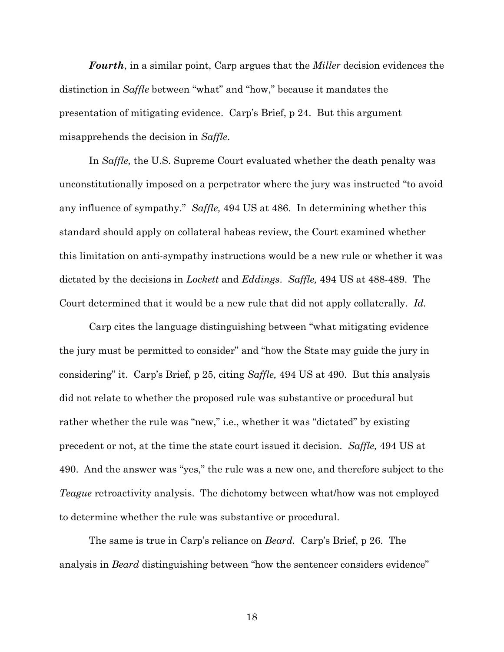*Fourth*, in a similar point, Carp argues that the *Miller* decision evidences the distinction in *Saffle* between "what" and "how," because it mandates the presentation of mitigating evidence. Carp's Brief, p 24. But this argument misapprehends the decision in *Saffle*.

In *Saffle,* the U.S. Supreme Court evaluated whether the death penalty was unconstitutionally imposed on a perpetrator where the jury was instructed "to avoid any influence of sympathy." *Saffle,* 494 US at 486. In determining whether this standard should apply on collateral habeas review, the Court examined whether this limitation on anti-sympathy instructions would be a new rule or whether it was dictated by the decisions in *Lockett* and *Eddings*. *Saffle,* 494 US at 488-489. The Court determined that it would be a new rule that did not apply collaterally. *Id.*

Carp cites the language distinguishing between "what mitigating evidence the jury must be permitted to consider" and "how the State may guide the jury in considering" it. Carp's Brief, p 25, citing *Saffle,* 494 US at 490. But this analysis did not relate to whether the proposed rule was substantive or procedural but rather whether the rule was "new," i.e., whether it was "dictated" by existing precedent or not, at the time the state court issued it decision. *Saffle,* 494 US at 490. And the answer was "yes," the rule was a new one, and therefore subject to the *Teague* retroactivity analysis. The dichotomy between what/how was not employed to determine whether the rule was substantive or procedural.

The same is true in Carp's reliance on *Beard.* Carp's Brief, p 26. The analysis in *Beard* distinguishing between "how the sentencer considers evidence"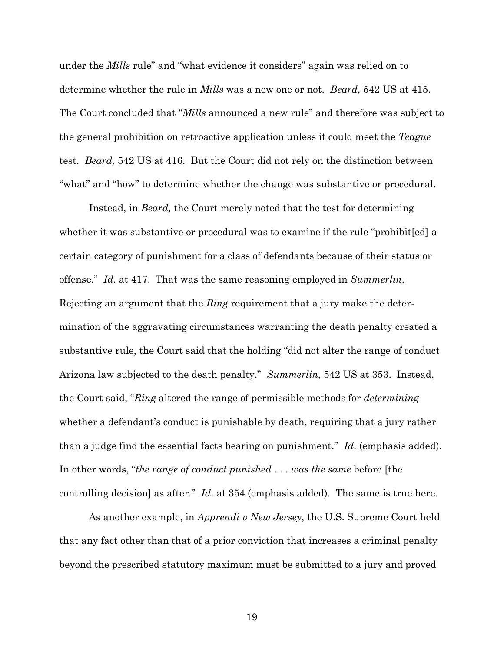under the *Mills* rule" and "what evidence it considers" again was relied on to determine whether the rule in *Mills* was a new one or not. *Beard,* 542 US at 415. The Court concluded that "*Mills* announced a new rule" and therefore was subject to the general prohibition on retroactive application unless it could meet the *Teague* test. *Beard,* 542 US at 416. But the Court did not rely on the distinction between "what" and "how" to determine whether the change was substantive or procedural.

Instead, in *Beard,* the Court merely noted that the test for determining whether it was substantive or procedural was to examine if the rule "prohibit[ed] a certain category of punishment for a class of defendants because of their status or offense." *Id.* at 417. That was the same reasoning employed in *Summerlin*. Rejecting an argument that the *Ring* requirement that a jury make the determination of the aggravating circumstances warranting the death penalty created a substantive rule, the Court said that the holding "did not alter the range of conduct Arizona law subjected to the death penalty." *Summerlin,* 542 US at 353. Instead, the Court said, "*Ring* altered the range of permissible methods for *determining* whether a defendant's conduct is punishable by death, requiring that a jury rather than a judge find the essential facts bearing on punishment." *Id*. (emphasis added). In other words, "*the range of conduct punished* . . . *was the same* before [the controlling decision] as after." *Id*. at 354 (emphasis added). The same is true here.

As another example, in *Apprendi v New Jersey*, the U.S. Supreme Court held that any fact other than that of a prior conviction that increases a criminal penalty beyond the prescribed statutory maximum must be submitted to a jury and proved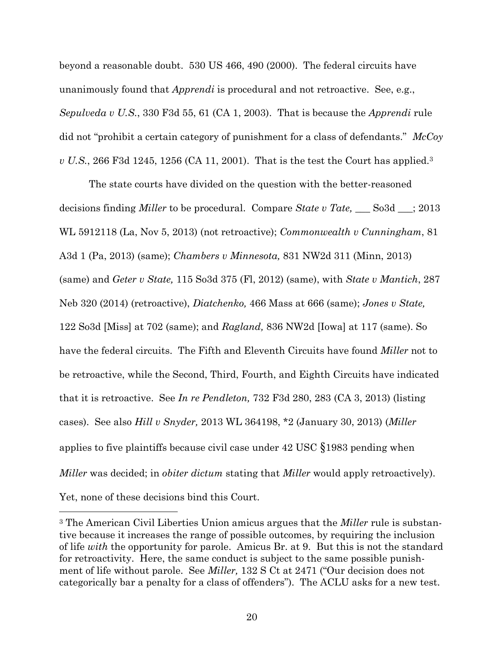beyond a reasonable doubt. 530 US 466, 490 (2000). The federal circuits have unanimously found that *Apprendi* is procedural and not retroactive. See, e.g., *Sepulveda v U.S.*, 330 F3d 55, 61 (CA 1, 2003). That is because the *Apprendi* rule did not "prohibit a certain category of punishment for a class of defendants." *McCoy v U.S.*, 266 F3d 1245, 1256 (CA 11, 2001). That is the test the Court has applied.<sup>3</sup>

The state courts have divided on the question with the better-reasoned decisions finding *Miller* to be procedural. Compare *State v Tate,* \_\_\_ So3d \_\_\_; 2013 WL 5912118 (La, Nov 5, 2013) (not retroactive); *Commonwealth v Cunningham*, 81 A3d 1 (Pa, 2013) (same); *Chambers v Minnesota,* 831 NW2d 311 (Minn, 2013) (same) and *Geter v State,* 115 So3d 375 (Fl, 2012) (same), with *State v Mantich*, 287 Neb 320 (2014) (retroactive), *Diatchenko,* 466 Mass at 666 (same); *Jones v State,*  122 So3d [Miss] at 702 (same); and *Ragland,* 836 NW2d [Iowa] at 117 (same). So have the federal circuits. The Fifth and Eleventh Circuits have found *Miller* not to be retroactive, while the Second, Third, Fourth, and Eighth Circuits have indicated that it is retroactive. See *In re Pendleton,* 732 F3d 280, 283 (CA 3, 2013) (listing cases). See also *Hill v Snyder,* 2013 WL 364198, \*2 (January 30, 2013) (*Miller*  applies to five plaintiffs because civil case under 42 USC §1983 pending when *Miller* was decided; in *obiter dictum* stating that *Miller* would apply retroactively). Yet, none of these decisions bind this Court.

 $\overline{a}$ 

<sup>3</sup> The American Civil Liberties Union amicus argues that the *Miller* rule is substantive because it increases the range of possible outcomes, by requiring the inclusion of life *with* the opportunity for parole. Amicus Br. at 9. But this is not the standard for retroactivity. Here, the same conduct is subject to the same possible punishment of life without parole. See *Miller,* 132 S Ct at 2471 ("Our decision does not categorically bar a penalty for a class of offenders"). The ACLU asks for a new test.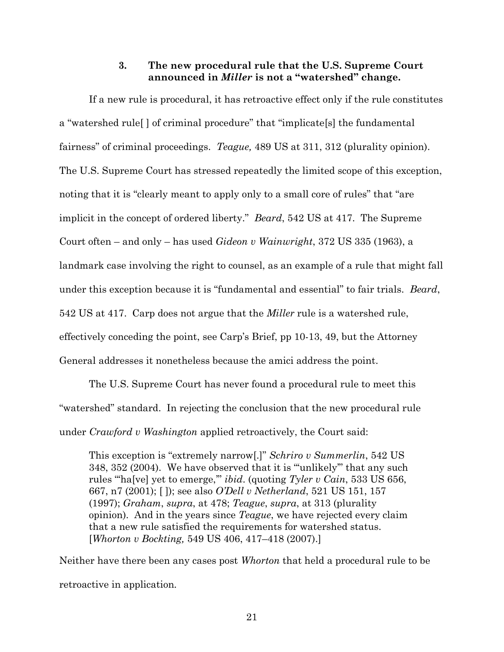### **3. The new procedural rule that the U.S. Supreme Court announced in** *Miller* **is not a "watershed" change.**

<span id="page-30-0"></span>If a new rule is procedural, it has retroactive effect only if the rule constitutes a "watershed rule[ ] of criminal procedure" that "implicate[s] the fundamental fairness" of criminal proceedings. *Teague,* 489 US at 311, 312 (plurality opinion). The U.S. Supreme Court has stressed repeatedly the limited scope of this exception, noting that it is "clearly meant to apply only to a small core of rules" that "are implicit in the concept of ordered liberty." *Beard*, 542 US at 417. The Supreme Court often – and only – has used *Gideon v Wainwright*, 372 US 335 (1963), a landmark case involving the right to counsel, as an example of a rule that might fall under this exception because it is "fundamental and essential" to fair trials. *Beard*, 542 US at 417. Carp does not argue that the *Miller* rule is a watershed rule, effectively conceding the point, see Carp's Brief, pp 10-13, 49, but the Attorney General addresses it nonetheless because the amici address the point.

The U.S. Supreme Court has never found a procedural rule to meet this "watershed" standard. In rejecting the conclusion that the new procedural rule under *Crawford v Washington* applied retroactively, the Court said:

This exception is "extremely narrow[.]" *Schriro v Summerlin*, 542 US 348, 352 (2004). We have observed that it is "'unlikely'" that any such rules "'ha[ve] yet to emerge,'" *ibid*. (quoting *Tyler v Cain*, 533 US 656, 667, n7 (2001); [ ]); see also *O'Dell v Netherland*, 521 US 151, 157 (1997); *Graham*, *supra*, at 478; *Teague*, *supra*, at 313 (plurality opinion). And in the years since *Teague*, we have rejected every claim that a new rule satisfied the requirements for watershed status. [*Whorton v Bockting,* 549 US 406, 417–418 (2007).]

Neither have there been any cases post *Whorton* that held a procedural rule to be retroactive in application*.*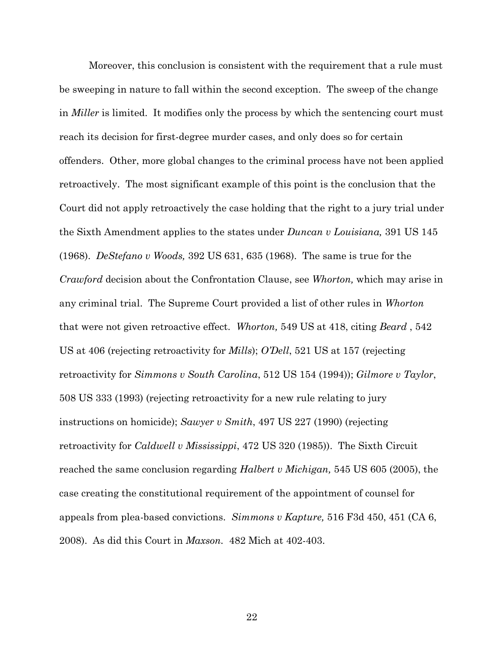Moreover, this conclusion is consistent with the requirement that a rule must be sweeping in nature to fall within the second exception. The sweep of the change in *Miller* is limited. It modifies only the process by which the sentencing court must reach its decision for first-degree murder cases, and only does so for certain offenders. Other, more global changes to the criminal process have not been applied retroactively. The most significant example of this point is the conclusion that the Court did not apply retroactively the case holding that the right to a jury trial under the Sixth Amendment applies to the states under *Duncan v Louisiana,* 391 US 145 (1968). *DeStefano v Woods,* 392 US 631, 635 (1968). The same is true for the *Crawford* decision about the Confrontation Clause, see *Whorton,* which may arise in any criminal trial. The Supreme Court provided a list of other rules in *Whorton* that were not given retroactive effect. *Whorton,* 549 US at 418, citing *Beard* , 542 US at 406 (rejecting retroactivity for *Mills*); *O'Dell*, 521 US at 157 (rejecting retroactivity for *Simmons v South Carolina*, 512 US 154 (1994)); *Gilmore v Taylor*, 508 US 333 (1993) (rejecting retroactivity for a new rule relating to jury instructions on homicide); *Sawyer v Smith*, 497 US 227 (1990) (rejecting retroactivity for *Caldwell v Mississippi*, 472 US 320 (1985)). The Sixth Circuit reached the same conclusion regarding *Halbert v Michigan,* 545 US 605 (2005), the case creating the constitutional requirement of the appointment of counsel for appeals from plea-based convictions. *Simmons v Kapture,* 516 F3d 450, 451 (CA 6, 2008). As did this Court in *Maxson.* 482 Mich at 402-403.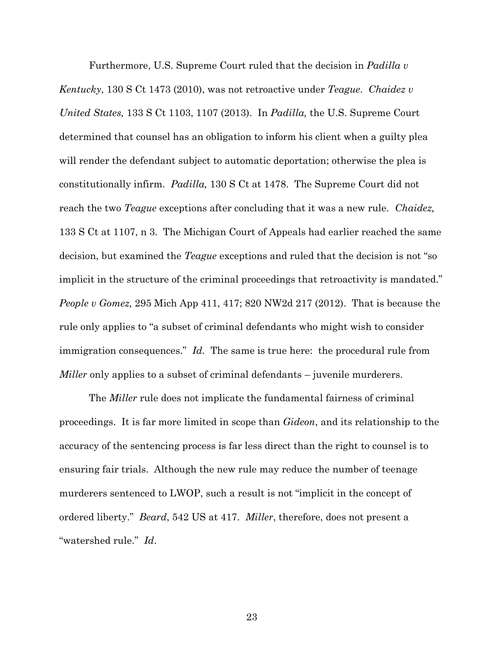Furthermore, U.S. Supreme Court ruled that the decision in *Padilla v Kentucky*, 130 S Ct 1473 (2010), was not retroactive under *Teague*. *Chaidez v United States,* 133 S Ct 1103, 1107 (2013). In *Padilla,* the U.S. Supreme Court determined that counsel has an obligation to inform his client when a guilty plea will render the defendant subject to automatic deportation; otherwise the plea is constitutionally infirm. *Padilla,* 130 S Ct at 1478. The Supreme Court did not reach the two *Teague* exceptions after concluding that it was a new rule. *Chaidez,*  133 S Ct at 1107, n 3. The Michigan Court of Appeals had earlier reached the same decision, but examined the *Teague* exceptions and ruled that the decision is not "so implicit in the structure of the criminal proceedings that retroactivity is mandated." *People v Gomez,* 295 Mich App 411, 417; 820 NW2d 217 (2012). That is because the rule only applies to "a subset of criminal defendants who might wish to consider immigration consequences." *Id.* The same is true here: the procedural rule from *Miller* only applies to a subset of criminal defendants – juvenile murderers.

The *Miller* rule does not implicate the fundamental fairness of criminal proceedings. It is far more limited in scope than *Gideon*, and its relationship to the accuracy of the sentencing process is far less direct than the right to counsel is to ensuring fair trials. Although the new rule may reduce the number of teenage murderers sentenced to LWOP, such a result is not "implicit in the concept of ordered liberty." *Beard*, 542 US at 417. *Miller*, therefore, does not present a "watershed rule." *Id*.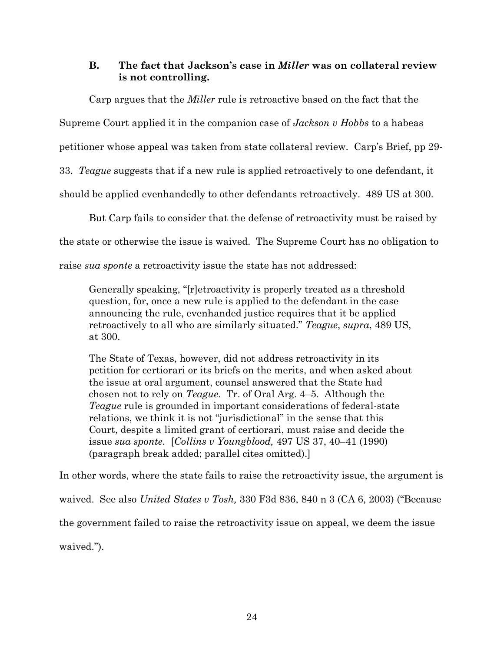## <span id="page-33-0"></span>**B. The fact that Jackson's case in** *Miller* **was on collateral review is not controlling.**

Carp argues that the *Miller* rule is retroactive based on the fact that the Supreme Court applied it in the companion case of *Jackson v Hobbs* to a habeas petitioner whose appeal was taken from state collateral review. Carp's Brief, pp 29- 33. *Teague* suggests that if a new rule is applied retroactively to one defendant, it should be applied evenhandedly to other defendants retroactively. 489 US at 300.

But Carp fails to consider that the defense of retroactivity must be raised by the state or otherwise the issue is waived. The Supreme Court has no obligation to

raise *sua sponte* a retroactivity issue the state has not addressed:

Generally speaking, "[r]etroactivity is properly treated as a threshold question, for, once a new rule is applied to the defendant in the case announcing the rule, evenhanded justice requires that it be applied retroactively to all who are similarly situated." *Teague*, *supra*, 489 US, at 300.

The State of Texas, however, did not address retroactivity in its petition for certiorari or its briefs on the merits, and when asked about the issue at oral argument, counsel answered that the State had chosen not to rely on *Teague*. Tr. of Oral Arg. 4–5. Although the *Teague* rule is grounded in important considerations of federal-state relations, we think it is not "jurisdictional" in the sense that this Court, despite a limited grant of certiorari, must raise and decide the issue *sua sponte*. [*Collins v Youngblood,* 497 US 37, 40–41 (1990) (paragraph break added; parallel cites omitted).]

In other words, where the state fails to raise the retroactivity issue, the argument is waived. See also *United States v Tosh,* 330 F3d 836, 840 n 3 (CA 6, 2003) ("Because the government failed to raise the retroactivity issue on appeal, we deem the issue waived.").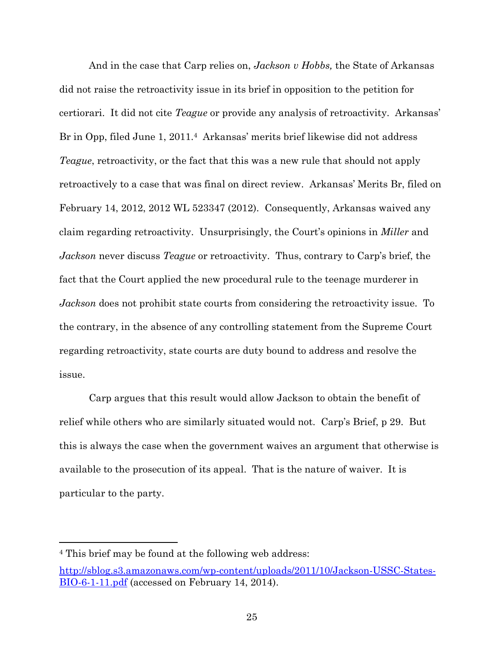And in the case that Carp relies on, *Jackson v Hobbs,* the State of Arkansas did not raise the retroactivity issue in its brief in opposition to the petition for certiorari. It did not cite *Teague* or provide any analysis of retroactivity. Arkansas' Br in Opp, filed June 1, 2011.<sup>4</sup> Arkansas' merits brief likewise did not address *Teague*, retroactivity, or the fact that this was a new rule that should not apply retroactively to a case that was final on direct review. Arkansas' Merits Br, filed on February 14, 2012, 2012 WL 523347 (2012). Consequently, Arkansas waived any claim regarding retroactivity. Unsurprisingly, the Court's opinions in *Miller* and *Jackson* never discuss *Teague* or retroactivity. Thus, contrary to Carp's brief, the fact that the Court applied the new procedural rule to the teenage murderer in *Jackson* does not prohibit state courts from considering the retroactivity issue. To the contrary, in the absence of any controlling statement from the Supreme Court regarding retroactivity, state courts are duty bound to address and resolve the issue.

Carp argues that this result would allow Jackson to obtain the benefit of relief while others who are similarly situated would not. Carp's Brief, p 29. But this is always the case when the government waives an argument that otherwise is available to the prosecution of its appeal. That is the nature of waiver. It is particular to the party.

 $\overline{a}$ 

<sup>4</sup> This brief may be found at the following web address: [http://sblog.s3.amazonaws.com/wp-content/uploads/2011/10/Jackson-USSC-States-](http://sblog.s3.amazonaws.com/wp-content/uploads/2011/10/Jackson-USSC-States-BIO-6-1-11.pdf)[BIO-6-1-11.pdf](http://sblog.s3.amazonaws.com/wp-content/uploads/2011/10/Jackson-USSC-States-BIO-6-1-11.pdf) (accessed on February 14, 2014).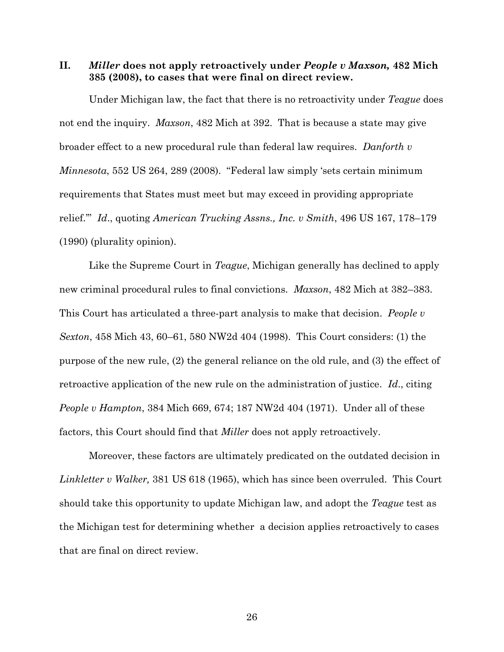<span id="page-35-0"></span>**II.** *Miller* **does not apply retroactively under** *People v Maxson,* **482 Mich 385 (2008), to cases that were final on direct review.**

Under Michigan law, the fact that there is no retroactivity under *Teague* does not end the inquiry. *Maxson*, 482 Mich at 392. That is because a state may give broader effect to a new procedural rule than federal law requires. *Danforth v Minnesota*, 552 US 264, 289 (2008). "Federal law simply 'sets certain minimum requirements that States must meet but may exceed in providing appropriate relief.'" *Id*., quoting *American Trucking Assns., Inc. v Smith*, 496 US 167, 178–179 (1990) (plurality opinion).

Like the Supreme Court in *Teague*, Michigan generally has declined to apply new criminal procedural rules to final convictions. *Maxson*, 482 Mich at 382–383. This Court has articulated a three-part analysis to make that decision. *People v Sexton*, 458 Mich 43, 60–61, 580 NW2d 404 (1998). This Court considers: (1) the purpose of the new rule, (2) the general reliance on the old rule, and (3) the effect of retroactive application of the new rule on the administration of justice. *Id*., citing *People v Hampton*, 384 Mich 669, 674; 187 NW2d 404 (1971). Under all of these factors, this Court should find that *Miller* does not apply retroactively.

Moreover, these factors are ultimately predicated on the outdated decision in *Linkletter v Walker,* 381 US 618 (1965), which has since been overruled. This Court should take this opportunity to update Michigan law, and adopt the *Teague* test as the Michigan test for determining whether a decision applies retroactively to cases that are final on direct review.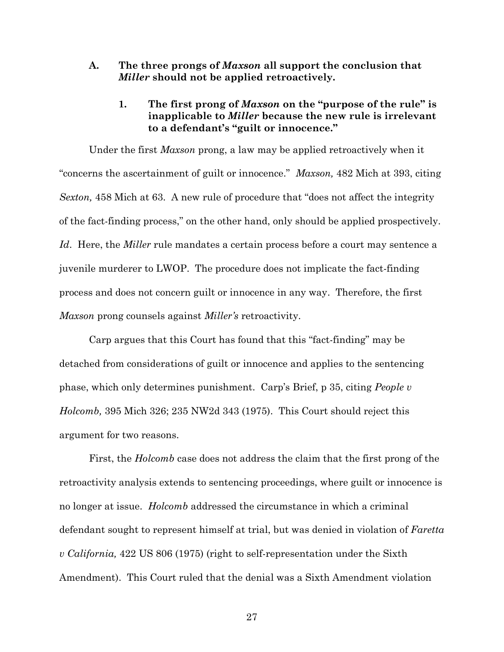- <span id="page-36-1"></span><span id="page-36-0"></span>**A. The three prongs of** *Maxson* **all support the conclusion that**  *Miller* **should not be applied retroactively.**
	- **1. The first prong of** *Maxson* **on the "purpose of the rule" is inapplicable to** *Miller* **because the new rule is irrelevant to a defendant's "guilt or innocence."**

Under the first *Maxson* prong, a law may be applied retroactively when it "concerns the ascertainment of guilt or innocence." *Maxson,* 482 Mich at 393, citing *Sexton,* 458 Mich at 63. A new rule of procedure that "does not affect the integrity of the fact-finding process," on the other hand, only should be applied prospectively. *Id*. Here, the *Miller* rule mandates a certain process before a court may sentence a juvenile murderer to LWOP. The procedure does not implicate the fact-finding process and does not concern guilt or innocence in any way. Therefore, the first *Maxson* prong counsels against *Miller's* retroactivity.

Carp argues that this Court has found that this "fact-finding" may be detached from considerations of guilt or innocence and applies to the sentencing phase, which only determines punishment. Carp's Brief, p 35, citing *People v Holcomb,* 395 Mich 326; 235 NW2d 343 (1975). This Court should reject this argument for two reasons.

First, the *Holcomb* case does not address the claim that the first prong of the retroactivity analysis extends to sentencing proceedings, where guilt or innocence is no longer at issue. *Holcomb* addressed the circumstance in which a criminal defendant sought to represent himself at trial, but was denied in violation of *Faretta v California,* 422 US 806 (1975) (right to self-representation under the Sixth Amendment). This Court ruled that the denial was a Sixth Amendment violation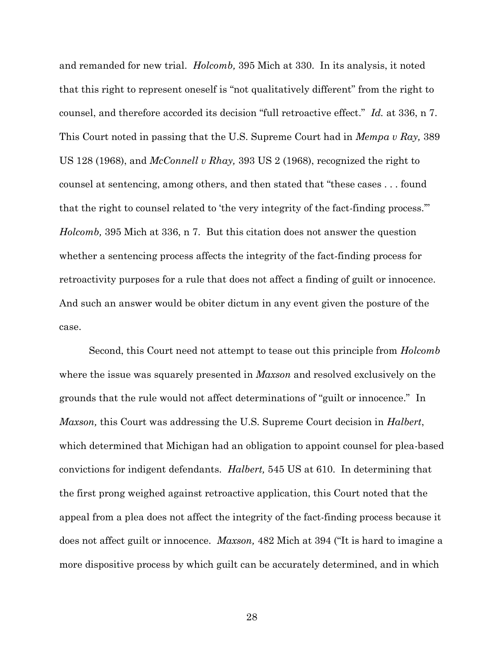and remanded for new trial. *Holcomb,* 395 Mich at 330. In its analysis, it noted that this right to represent oneself is "not qualitatively different" from the right to counsel, and therefore accorded its decision "full retroactive effect." *Id.* at 336, n 7. This Court noted in passing that the U.S. Supreme Court had in *Mempa v Ray,* 389 US 128 (1968), and *McConnell v Rhay,* 393 US 2 (1968), recognized the right to counsel at sentencing, among others, and then stated that "these cases . . . found that the right to counsel related to 'the very integrity of the fact-finding process.'" *Holcomb,* 395 Mich at 336, n 7. But this citation does not answer the question whether a sentencing process affects the integrity of the fact-finding process for retroactivity purposes for a rule that does not affect a finding of guilt or innocence. And such an answer would be obiter dictum in any event given the posture of the case.

Second, this Court need not attempt to tease out this principle from *Holcomb* where the issue was squarely presented in *Maxson* and resolved exclusively on the grounds that the rule would not affect determinations of "guilt or innocence." In *Maxson,* this Court was addressing the U.S. Supreme Court decision in *Halbert*, which determined that Michigan had an obligation to appoint counsel for plea-based convictions for indigent defendants. *Halbert,* 545 US at 610. In determining that the first prong weighed against retroactive application, this Court noted that the appeal from a plea does not affect the integrity of the fact-finding process because it does not affect guilt or innocence. *Maxson,* 482 Mich at 394 ("It is hard to imagine a more dispositive process by which guilt can be accurately determined, and in which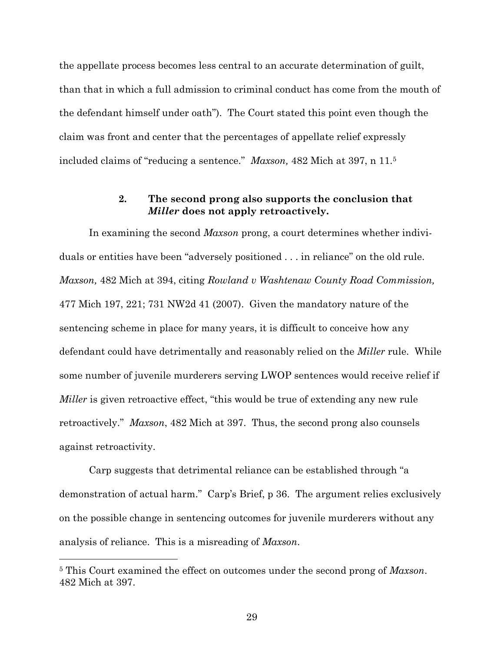the appellate process becomes less central to an accurate determination of guilt, than that in which a full admission to criminal conduct has come from the mouth of the defendant himself under oath"). The Court stated this point even though the claim was front and center that the percentages of appellate relief expressly included claims of "reducing a sentence." *Maxson,* 482 Mich at 397, n 11.<sup>5</sup>

### **2. The second prong also supports the conclusion that**  *Miller* **does not apply retroactively.**

<span id="page-38-0"></span>In examining the second *Maxson* prong, a court determines whether individuals or entities have been "adversely positioned . . . in reliance" on the old rule. *Maxson,* 482 Mich at 394, citing *Rowland v Washtenaw County Road Commission,*  477 Mich 197, 221; 731 NW2d 41 (2007). Given the mandatory nature of the sentencing scheme in place for many years, it is difficult to conceive how any defendant could have detrimentally and reasonably relied on the *Miller* rule. While some number of juvenile murderers serving LWOP sentences would receive relief if *Miller* is given retroactive effect, "this would be true of extending any new rule retroactively." *Maxson*, 482 Mich at 397. Thus, the second prong also counsels against retroactivity.

Carp suggests that detrimental reliance can be established through "a demonstration of actual harm." Carp's Brief, p 36. The argument relies exclusively on the possible change in sentencing outcomes for juvenile murderers without any analysis of reliance. This is a misreading of *Maxson*.

 $\overline{a}$ 

<sup>5</sup> This Court examined the effect on outcomes under the second prong of *Maxson*. 482 Mich at 397.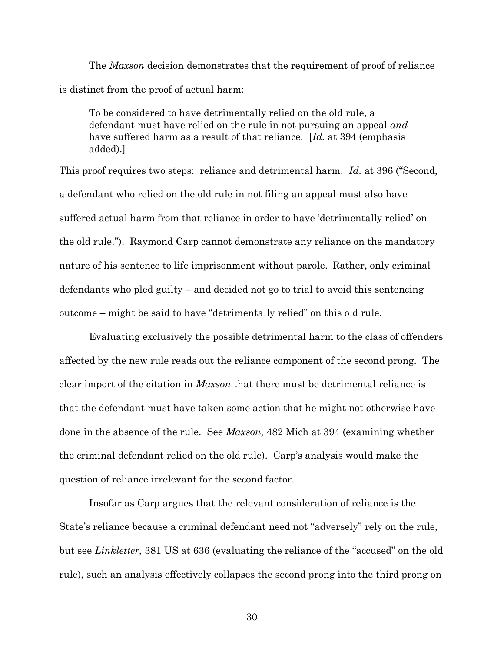The *Maxson* decision demonstrates that the requirement of proof of reliance is distinct from the proof of actual harm:

To be considered to have detrimentally relied on the old rule, a defendant must have relied on the rule in not pursuing an appeal *and* have suffered harm as a result of that reliance. [*Id.* at 394 (emphasis added).]

This proof requires two steps: reliance and detrimental harm. *Id.* at 396 ("Second, a defendant who relied on the old rule in not filing an appeal must also have suffered actual harm from that reliance in order to have 'detrimentally relied' on the old rule."). Raymond Carp cannot demonstrate any reliance on the mandatory nature of his sentence to life imprisonment without parole. Rather, only criminal defendants who pled guilty – and decided not go to trial to avoid this sentencing outcome – might be said to have "detrimentally relied" on this old rule.

Evaluating exclusively the possible detrimental harm to the class of offenders affected by the new rule reads out the reliance component of the second prong. The clear import of the citation in *Maxson* that there must be detrimental reliance is that the defendant must have taken some action that he might not otherwise have done in the absence of the rule. See *Maxson,* 482 Mich at 394 (examining whether the criminal defendant relied on the old rule). Carp's analysis would make the question of reliance irrelevant for the second factor.

Insofar as Carp argues that the relevant consideration of reliance is the State's reliance because a criminal defendant need not "adversely" rely on the rule, but see *Linkletter,* 381 US at 636 (evaluating the reliance of the "accused" on the old rule), such an analysis effectively collapses the second prong into the third prong on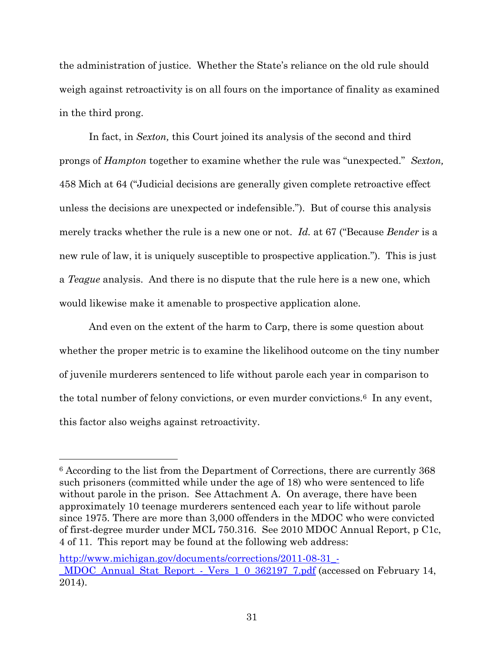the administration of justice. Whether the State's reliance on the old rule should weigh against retroactivity is on all fours on the importance of finality as examined in the third prong.

In fact, in *Sexton,* this Court joined its analysis of the second and third prongs of *Hampton* together to examine whether the rule was "unexpected." *Sexton,*  458 Mich at 64 ("Judicial decisions are generally given complete retroactive effect unless the decisions are unexpected or indefensible."). But of course this analysis merely tracks whether the rule is a new one or not. *Id.* at 67 ("Because *Bender* is a new rule of law, it is uniquely susceptible to prospective application."). This is just a *Teague* analysis. And there is no dispute that the rule here is a new one, which would likewise make it amenable to prospective application alone.

And even on the extent of the harm to Carp, there is some question about whether the proper metric is to examine the likelihood outcome on the tiny number of juvenile murderers sentenced to life without parole each year in comparison to the total number of felony convictions, or even murder convictions.6 In any event, this factor also weighs against retroactivity.

 $\overline{a}$ 

<sup>6</sup> According to the list from the Department of Corrections, there are currently 368 such prisoners (committed while under the age of 18) who were sentenced to life without parole in the prison. See Attachment A. On average, there have been approximately 10 teenage murderers sentenced each year to life without parole since 1975. There are more than 3,000 offenders in the MDOC who were convicted of first-degree murder under MCL 750.316. See 2010 MDOC Annual Report, p C1c, 4 of 11. This report may be found at the following web address:

[http://www.michigan.gov/documents/corrections/2011-08-31\\_-](http://www.michigan.gov/documents/corrections/2011-08-31_-_MDOC_Annual_Stat_Report_-_Vers_1_0_362197_7.pdf) [\\_MDOC\\_Annual\\_Stat\\_Report\\_-\\_Vers\\_1\\_0\\_362197\\_7.pdf](http://www.michigan.gov/documents/corrections/2011-08-31_-_MDOC_Annual_Stat_Report_-_Vers_1_0_362197_7.pdf) (accessed on February 14, 2014).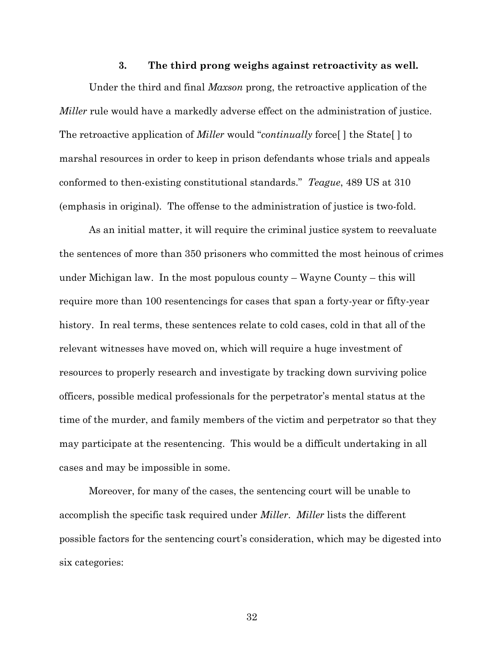#### **3. The third prong weighs against retroactivity as well.**

<span id="page-41-0"></span>Under the third and final *Maxson* prong, the retroactive application of the *Miller* rule would have a markedly adverse effect on the administration of justice. The retroactive application of *Miller* would "*continually* force[ ] the State[ ] to marshal resources in order to keep in prison defendants whose trials and appeals conformed to then-existing constitutional standards." *Teague*, 489 US at 310 (emphasis in original). The offense to the administration of justice is two-fold.

As an initial matter, it will require the criminal justice system to reevaluate the sentences of more than 350 prisoners who committed the most heinous of crimes under Michigan law. In the most populous county – Wayne County – this will require more than 100 resentencings for cases that span a forty-year or fifty-year history. In real terms, these sentences relate to cold cases, cold in that all of the relevant witnesses have moved on, which will require a huge investment of resources to properly research and investigate by tracking down surviving police officers, possible medical professionals for the perpetrator's mental status at the time of the murder, and family members of the victim and perpetrator so that they may participate at the resentencing. This would be a difficult undertaking in all cases and may be impossible in some.

Moreover, for many of the cases, the sentencing court will be unable to accomplish the specific task required under *Miller*. *Miller* lists the different possible factors for the sentencing court's consideration, which may be digested into six categories: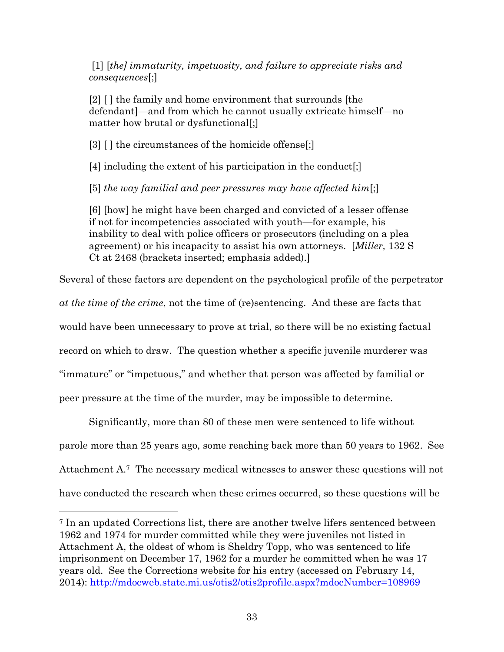[1] [*the] immaturity, impetuosity, and failure to appreciate risks and consequences*[;]

[2] [ ] the family and home environment that surrounds [the defendant]—and from which he cannot usually extricate himself—no matter how brutal or dysfunctional[;]

[3] [] the circumstances of the homicide offense[;]

[4] including the extent of his participation in the conduct[;]

[5] *the way familial and peer pressures may have affected him*[;]

[6] [how] he might have been charged and convicted of a lesser offense if not for incompetencies associated with youth—for example, his inability to deal with police officers or prosecutors (including on a plea agreement) or his incapacity to assist his own attorneys. [*Miller,* 132 S Ct at 2468 (brackets inserted; emphasis added).]

Several of these factors are dependent on the psychological profile of the perpetrator

*at the time of the crime*, not the time of (re)sentencing. And these are facts that

would have been unnecessary to prove at trial, so there will be no existing factual

record on which to draw. The question whether a specific juvenile murderer was

"immature" or "impetuous," and whether that person was affected by familial or

peer pressure at the time of the murder, may be impossible to determine.

 $\overline{a}$ 

Significantly, more than 80 of these men were sentenced to life without

parole more than 25 years ago, some reaching back more than 50 years to 1962. See

Attachment A.7 The necessary medical witnesses to answer these questions will not

have conducted the research when these crimes occurred, so these questions will be

<sup>7</sup> In an updated Corrections list, there are another twelve lifers sentenced between 1962 and 1974 for murder committed while they were juveniles not listed in Attachment A, the oldest of whom is Sheldry Topp, who was sentenced to life imprisonment on December 17, 1962 for a murder he committed when he was 17 years old. See the Corrections website for his entry (accessed on February 14, 2014):<http://mdocweb.state.mi.us/otis2/otis2profile.aspx?mdocNumber=108969>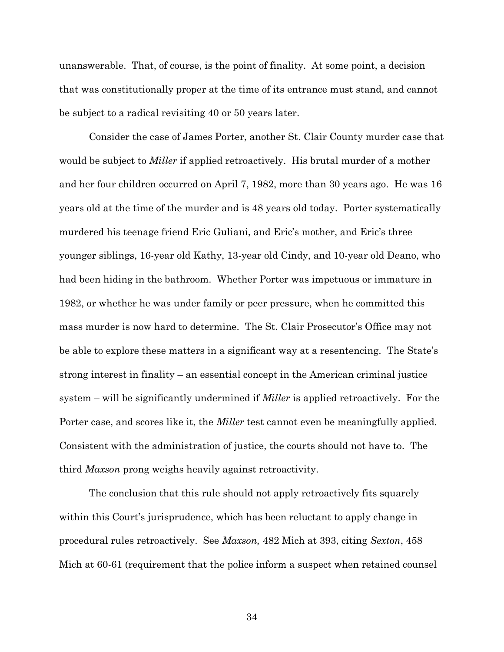unanswerable. That, of course, is the point of finality. At some point, a decision that was constitutionally proper at the time of its entrance must stand, and cannot be subject to a radical revisiting 40 or 50 years later.

Consider the case of James Porter, another St. Clair County murder case that would be subject to *Miller* if applied retroactively. His brutal murder of a mother and her four children occurred on April 7, 1982, more than 30 years ago. He was 16 years old at the time of the murder and is 48 years old today. Porter systematically murdered his teenage friend Eric Guliani, and Eric's mother, and Eric's three younger siblings, 16-year old Kathy, 13-year old Cindy, and 10-year old Deano, who had been hiding in the bathroom. Whether Porter was impetuous or immature in 1982, or whether he was under family or peer pressure, when he committed this mass murder is now hard to determine. The St. Clair Prosecutor's Office may not be able to explore these matters in a significant way at a resentencing. The State's strong interest in finality – an essential concept in the American criminal justice system – will be significantly undermined if *Miller* is applied retroactively. For the Porter case, and scores like it, the *Miller* test cannot even be meaningfully applied. Consistent with the administration of justice, the courts should not have to. The third *Maxson* prong weighs heavily against retroactivity.

The conclusion that this rule should not apply retroactively fits squarely within this Court's jurisprudence, which has been reluctant to apply change in procedural rules retroactively. See *Maxson,* 482 Mich at 393, citing *Sexton*, 458 Mich at 60-61 (requirement that the police inform a suspect when retained counsel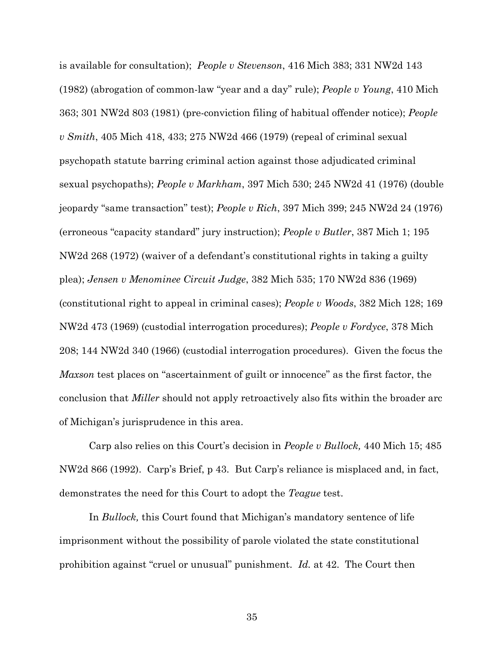is available for consultation); *People v Stevenson*, 416 Mich 383; 331 NW2d 143 (1982) (abrogation of common-law "year and a day" rule); *People v Young*, 410 Mich 363; 301 NW2d 803 (1981) (pre-conviction filing of habitual offender notice); *People v Smith*, 405 Mich 418, 433; 275 NW2d 466 (1979) (repeal of criminal sexual psychopath statute barring criminal action against those adjudicated criminal sexual psychopaths); *People v Markham*, 397 Mich 530; 245 NW2d 41 (1976) (double jeopardy "same transaction" test); *People v Rich*, 397 Mich 399; 245 NW2d 24 (1976) (erroneous "capacity standard" jury instruction); *People v Butler*, 387 Mich 1; 195 NW2d 268 (1972) (waiver of a defendant's constitutional rights in taking a guilty plea); *Jensen v Menominee Circuit Judge*, 382 Mich 535; 170 NW2d 836 (1969) (constitutional right to appeal in criminal cases); *People v Woods*, 382 Mich 128; 169 NW2d 473 (1969) (custodial interrogation procedures); *People v Fordyce*, 378 Mich 208; 144 NW2d 340 (1966) (custodial interrogation procedures). Given the focus the *Maxson* test places on "ascertainment of guilt or innocence" as the first factor, the conclusion that *Miller* should not apply retroactively also fits within the broader arc of Michigan's jurisprudence in this area.

Carp also relies on this Court's decision in *People v Bullock,* 440 Mich 15; 485 NW2d 866 (1992). Carp's Brief, p 43. But Carp's reliance is misplaced and, in fact, demonstrates the need for this Court to adopt the *Teague* test.

In *Bullock,* this Court found that Michigan's mandatory sentence of life imprisonment without the possibility of parole violated the state constitutional prohibition against "cruel or unusual" punishment. *Id.* at 42. The Court then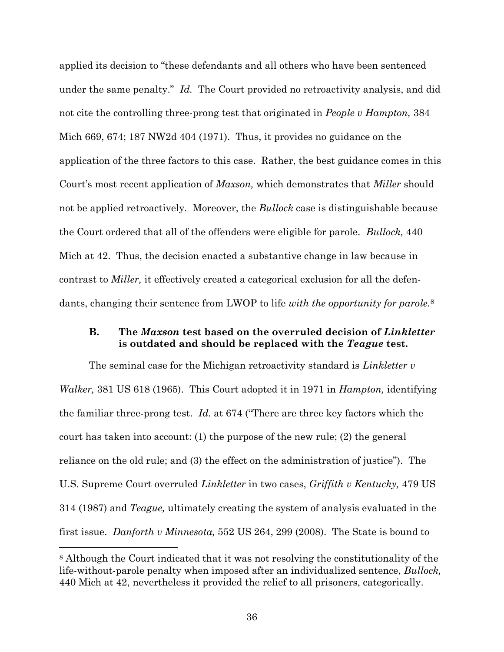applied its decision to "these defendants and all others who have been sentenced under the same penalty." *Id.* The Court provided no retroactivity analysis, and did not cite the controlling three-prong test that originated in *People v Hampton,* 384 Mich 669, 674; 187 NW2d 404 (1971). Thus, it provides no guidance on the application of the three factors to this case. Rather, the best guidance comes in this Court's most recent application of *Maxson,* which demonstrates that *Miller* should not be applied retroactively*.* Moreover, the *Bullock* case is distinguishable because the Court ordered that all of the offenders were eligible for parole. *Bullock,* 440 Mich at 42. Thus, the decision enacted a substantive change in law because in contrast to *Miller,* it effectively created a categorical exclusion for all the defendants, changing their sentence from LWOP to life *with the opportunity for parole.*<sup>8</sup>

### <span id="page-45-0"></span>**B. The** *Maxson* **test based on the overruled decision of** *Linkletter*  **is outdated and should be replaced with the** *Teague* **test.**

The seminal case for the Michigan retroactivity standard is *Linkletter v Walker,* 381 US 618 (1965). This Court adopted it in 1971 in *Hampton,* identifying the familiar three-prong test. *Id.* at 674 ("There are three key factors which the court has taken into account: (1) the purpose of the new rule; (2) the general reliance on the old rule; and (3) the effect on the administration of justice"). The U.S. Supreme Court overruled *Linkletter* in two cases, *Griffith v Kentucky,* 479 US 314 (1987) and *Teague,* ultimately creating the system of analysis evaluated in the first issue. *Danforth v Minnesota,* 552 US 264, 299 (2008). The State is bound to

 $\overline{a}$ 

<sup>8</sup> Although the Court indicated that it was not resolving the constitutionality of the life-without-parole penalty when imposed after an individualized sentence, *Bullock,*  440 Mich at 42, nevertheless it provided the relief to all prisoners, categorically.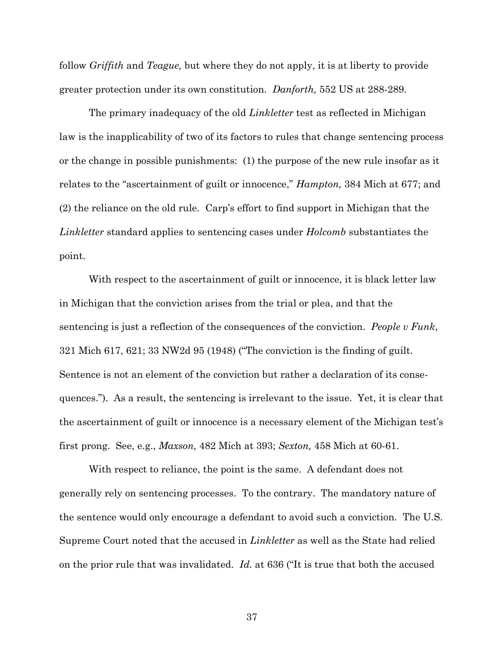follow *Griffith* and *Teague,* but where they do not apply, it is at liberty to provide greater protection under its own constitution. *Danforth,* 552 US at 288-289.

The primary inadequacy of the old *Linkletter* test as reflected in Michigan law is the inapplicability of two of its factors to rules that change sentencing process or the change in possible punishments: (1) the purpose of the new rule insofar as it relates to the "ascertainment of guilt or innocence," *Hampton,* 384 Mich at 677; and (2) the reliance on the old rule*.* Carp's effort to find support in Michigan that the *Linkletter* standard applies to sentencing cases under *Holcomb* substantiates the point.

With respect to the ascertainment of guilt or innocence, it is black letter law in Michigan that the conviction arises from the trial or plea, and that the sentencing is just a reflection of the consequences of the conviction. *People v Funk*, 321 Mich 617, 621; 33 NW2d 95 (1948) ("The conviction is the finding of guilt. Sentence is not an element of the conviction but rather a declaration of its consequences."). As a result, the sentencing is irrelevant to the issue. Yet, it is clear that the ascertainment of guilt or innocence is a necessary element of the Michigan test's first prong. See, e.g., *Maxson,* 482 Mich at 393; *Sexton,* 458 Mich at 60-61.

With respect to reliance, the point is the same. A defendant does not generally rely on sentencing processes. To the contrary. The mandatory nature of the sentence would only encourage a defendant to avoid such a conviction. The U.S. Supreme Court noted that the accused in *Linkletter* as well as the State had relied on the prior rule that was invalidated. *Id.* at 636 ("It is true that both the accused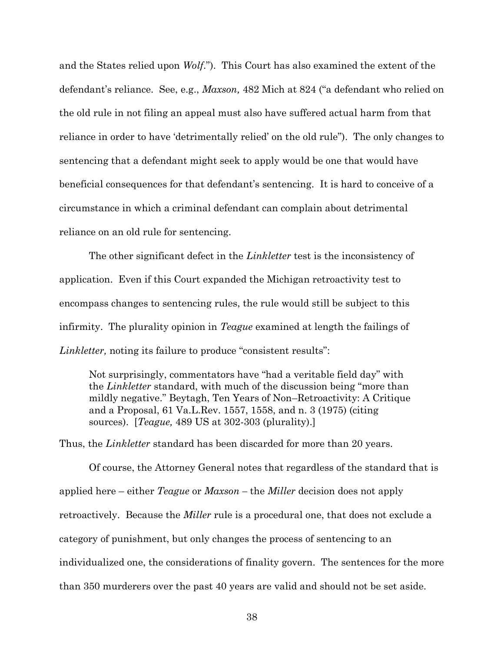and the States relied upon *Wolf*."). This Court has also examined the extent of the defendant's reliance. See, e.g., *Maxson,* 482 Mich at 824 ("a defendant who relied on the old rule in not filing an appeal must also have suffered actual harm from that reliance in order to have 'detrimentally relied' on the old rule"). The only changes to sentencing that a defendant might seek to apply would be one that would have beneficial consequences for that defendant's sentencing. It is hard to conceive of a circumstance in which a criminal defendant can complain about detrimental reliance on an old rule for sentencing.

The other significant defect in the *Linkletter* test is the inconsistency of application. Even if this Court expanded the Michigan retroactivity test to encompass changes to sentencing rules, the rule would still be subject to this infirmity. The plurality opinion in *Teague* examined at length the failings of *Linkletter,* noting its failure to produce "consistent results":

Not surprisingly, commentators have "had a veritable field day" with the *Linkletter* standard, with much of the discussion being "more than mildly negative." Beytagh, Ten Years of Non–Retroactivity: A Critique and a Proposal, 61 Va.L.Rev. 1557, 1558, and n. 3 (1975) (citing sources). [*Teague,* 489 US at 302-303 (plurality).]

Thus, the *Linkletter* standard has been discarded for more than 20 years.

Of course, the Attorney General notes that regardless of the standard that is applied here – either *Teague* or *Maxson –* the *Miller* decision does not apply retroactively. Because the *Miller* rule is a procedural one, that does not exclude a category of punishment, but only changes the process of sentencing to an individualized one, the considerations of finality govern. The sentences for the more than 350 murderers over the past 40 years are valid and should not be set aside.